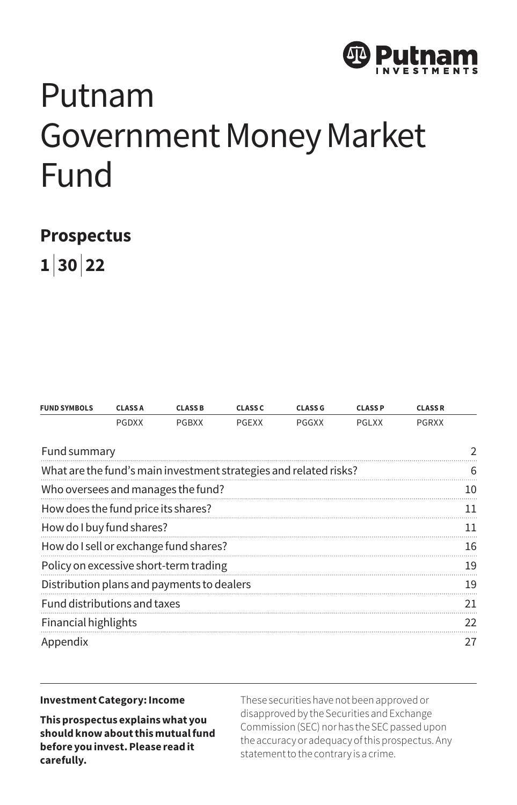

# Putnam Government Money Market Fund

# **Prospectus**

**1 | 30 | 22**

| <b>FUND SYMBOLS</b>                                               | <b>CLASSA</b> | <b>CLASS B</b> | <b>CLASS C</b> | <b>CLASS G</b> | <b>CLASSP</b> | <b>CLASSR</b> |               |
|-------------------------------------------------------------------|---------------|----------------|----------------|----------------|---------------|---------------|---------------|
|                                                                   | PGDXX         | PGBXX          | PGEXX          | PGGXX          | PGLXX         | PGRXX         |               |
| Fund summary                                                      |               |                |                |                |               |               | $\mathcal{P}$ |
| What are the fund's main investment strategies and related risks? |               |                |                |                |               |               | 6             |
| Who oversees and manages the fund?                                |               |                |                |                |               |               | 10            |
| How does the fund price its shares?                               |               |                |                |                |               |               | 11            |
| How do I buy fund shares?                                         |               |                |                |                |               |               | 11            |
| How do I sell or exchange fund shares?                            |               |                |                |                |               |               | 16            |
| Policy on excessive short-term trading                            |               |                |                |                |               |               | 19            |
| Distribution plans and payments to dealers                        |               |                |                |                |               |               | 19            |
| Fund distributions and taxes                                      |               |                |                |                |               |               | 21            |
| Financial highlights                                              |               |                |                |                |               |               | 22            |
| Appendix                                                          |               |                |                |                |               |               | 27            |

#### **Investment Category: Income**

**This prospectus explains what you should know about this mutual fund before you invest. Please read it carefully.**

These securities have not been approved or disapproved by the Securities and Exchange Commission (SEC) nor has the SEC passed upon the accuracy or adequacy of this prospectus. Any statement to the contrary is a crime.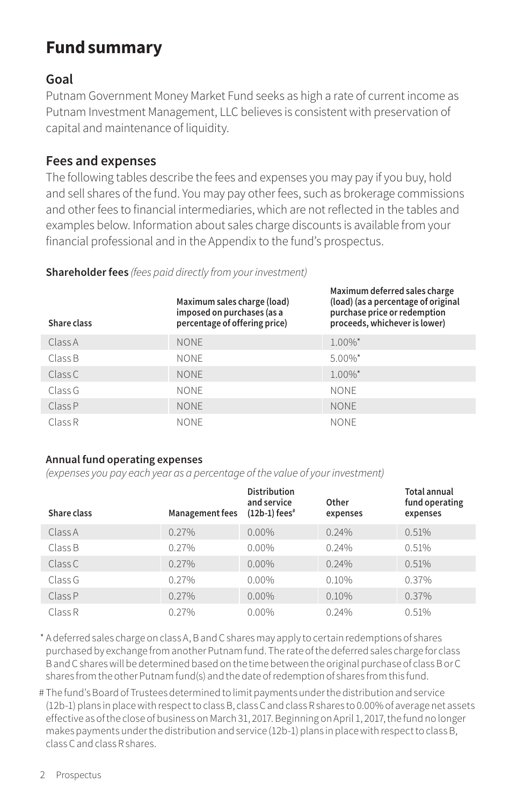# **Fund summary**

#### **Goal**

Putnam Government Money Market Fund seeks as high a rate of current income as Putnam Investment Management, LLC believes is consistent with preservation of capital and maintenance of liquidity.

#### **Fees and expenses**

The following tables describe the fees and expenses you may pay if you buy, hold and sell shares of the fund. You may pay other fees, such as brokerage commissions and other fees to financial intermediaries, which are not reflected in the tables and examples below. Information about sales charge discounts is available from your financial professional and in the Appendix to the fund's prospectus.

#### **Shareholder fees** *(fees paid directly from your investment)*

| Share class | Maximum sales charge (load)<br>imposed on purchases (as a<br>percentage of offering price) | MAXILIUM QUIULUU SALUS CHAI KU<br>(load) (as a percentage of original<br>purchase price or redemption<br>proceeds, whichever is lower) |
|-------------|--------------------------------------------------------------------------------------------|----------------------------------------------------------------------------------------------------------------------------------------|
| Class A     | <b>NONE</b>                                                                                | $1.00\%$ *                                                                                                                             |
| Class B     | <b>NONE</b>                                                                                | $5.00\%$ *                                                                                                                             |
| Class C     | <b>NONE</b>                                                                                | $1.00\%$ *                                                                                                                             |
| Class G     | NONE.                                                                                      | <b>NONE</b>                                                                                                                            |
| Class P     | <b>NONE</b>                                                                                | <b>NONE</b>                                                                                                                            |
| Class R     | <b>NONE</b>                                                                                | <b>NONF</b>                                                                                                                            |

**Maximum deferred sales charge** 

#### **Annual fund operating expenses**

*(expenses you pay each year as a percentage of the value of your investment)*

| Share class | Management fees | <b>Distribution</b><br>and service<br>$(12b-1)$ fees <sup>#</sup> | Other<br>expenses | Total annual<br>fund operating<br>expenses |
|-------------|-----------------|-------------------------------------------------------------------|-------------------|--------------------------------------------|
| Class A     | 0.27%           | $0.00\%$                                                          | 0.24%             | 0.51%                                      |
| Class B     | 0.27%           | $0.00\%$                                                          | 0.24%             | 0.51%                                      |
| Class C     | 0.27%           | $0.00\%$                                                          | 0.24%             | 0.51%                                      |
| Class G     | 0.27%           | $0.00\%$                                                          | 0.10%             | 0.37%                                      |
| Class P     | 0.27%           | $0.00\%$                                                          | 0.10%             | $0.37\%$                                   |
| Class R     | 0.27%           | 0.00%                                                             | 0.24%             | 0.51%                                      |

\* A deferred sales charge on class A, B and C shares may apply to certain redemptions of shares purchased by exchange from another Putnam fund. The rate of the deferred sales charge for class B and C shares will be determined based on the time between the original purchase of class B or C shares from the other Putnam fund(s) and the date of redemption of shares from this fund.

# The fund's Board of Trustees determined to limit payments under the distribution and service (12b‑1) plans in place with respect to class B, class C and class R shares to 0.00% of average net assets effective as of the close of business on March 31, 2017. Beginning on April 1, 2017, the fund no longer makes payments under the distribution and service (12b-1) plans in place with respect to class B, class C and class R shares.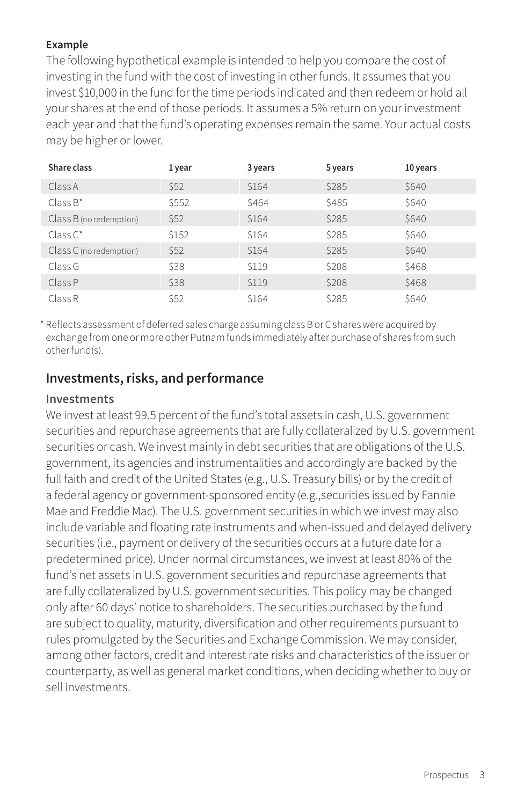#### **Example**

The following hypothetical example is intended to help you compare the cost of investing in the fund with the cost of investing in other funds. It assumes that you invest \$10,000 in the fund for the time periods indicated and then redeem or hold all your shares at the end of those periods. It assumes a 5% return on your investment each year and that the fund's operating expenses remain the same. Your actual costs may be higher or lower.

| Share class             | 1 year | 3 years      | 5 years | 10 years |
|-------------------------|--------|--------------|---------|----------|
| Class A                 | \$52   | \$164        | \$285   | \$640    |
| $Class B^*$             | \$552  | <b>\$464</b> | \$485   | \$640    |
| Class B (no redemption) | \$52   | \$164        | \$285   | \$640    |
| $Class C^*$             | \$152  | \$164        | \$285   | \$640    |
| Class C (no redemption) | \$52   | \$164        | \$285   | \$640    |
| Class G                 | \$38   | \$119        | \$208   | \$468    |
| Class P                 | \$38   | \$119        | \$208   | \$468    |
| Class R                 | \$52   | <b>\$164</b> | \$285   | \$640    |

\* Reflects assessment of deferred sales charge assuming class B or C shares were acquired by exchange from one or more other Putnam funds immediately after purchase of shares from such other fund(s).

### **Investments, risks, and performance**

#### **Investments**

We invest at least 99.5 percent of the fund's total assets in cash, U.S. government securities and repurchase agreements that are fully collateralized by U.S. government securities or cash. We invest mainly in debt securities that are obligations of the U.S. government, its agencies and instrumentalities and accordingly are backed by the full faith and credit of the United States (e.g., U.S. Treasury bills) or by the credit of a federal agency or government-sponsored entity (e.g.,securities issued by Fannie Mae and Freddie Mac). The U.S. government securities in which we invest may also include variable and floating rate instruments and when-issued and delayed delivery securities (i.e., payment or delivery of the securities occurs at a future date for a predetermined price). Under normal circumstances, we invest at least 80% of the fund's net assets in U.S. government securities and repurchase agreements that are fully collateralized by U.S. government securities. This policy may be changed only after 60 days' notice to shareholders. The securities purchased by the fund are subject to quality, maturity, diversification and other requirements pursuant to rules promulgated by the Securities and Exchange Commission. We may consider, among other factors, credit and interest rate risks and characteristics of the issuer or counterparty, as well as general market conditions, when deciding whether to buy or sell investments.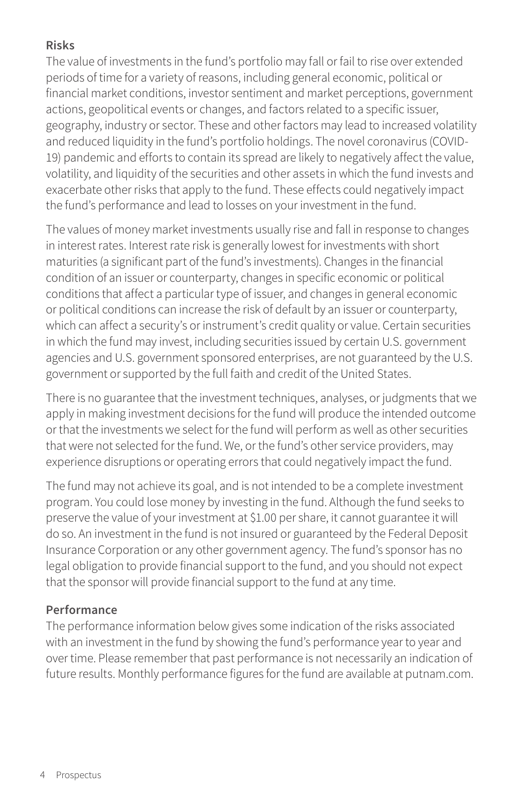#### **Risks**

The value of investments in the fund's portfolio may fall or fail to rise over extended periods of time for a variety of reasons, including general economic, political or financial market conditions, investor sentiment and market perceptions, government actions, geopolitical events or changes, and factors related to a specific issuer, geography, industry or sector. These and other factors may lead to increased volatility and reduced liquidity in the fund's portfolio holdings. The novel coronavirus (COVID-19) pandemic and efforts to contain its spread are likely to negatively affect the value, volatility, and liquidity of the securities and other assets in which the fund invests and exacerbate other risks that apply to the fund. These effects could negatively impact the fund's performance and lead to losses on your investment in the fund.

The values of money market investments usually rise and fall in response to changes in interest rates. Interest rate risk is generally lowest for investments with short maturities (a significant part of the fund's investments). Changes in the financial condition of an issuer or counterparty, changes in specific economic or political conditions that affect a particular type of issuer, and changes in general economic or political conditions can increase the risk of default by an issuer or counterparty, which can affect a security's or instrument's credit quality or value. Certain securities in which the fund may invest, including securities issued by certain U.S. government agencies and U.S. government sponsored enterprises, are not guaranteed by the U.S. government or supported by the full faith and credit of the United States.

There is no guarantee that the investment techniques, analyses, or judgments that we apply in making investment decisions for the fund will produce the intended outcome or that the investments we select for the fund will perform as well as other securities that were not selected for the fund. We, or the fund's other service providers, may experience disruptions or operating errors that could negatively impact the fund.

The fund may not achieve its goal, and is not intended to be a complete investment program. You could lose money by investing in the fund. Although the fund seeks to preserve the value of your investment at \$1.00 per share, it cannot guarantee it will do so. An investment in the fund is not insured or guaranteed by the Federal Deposit Insurance Corporation or any other government agency. The fund's sponsor has no legal obligation to provide financial support to the fund, and you should not expect that the sponsor will provide financial support to the fund at any time.

#### **Performance**

The performance information below gives some indication of the risks associated with an investment in the fund by showing the fund's performance year to year and over time. Please remember that past performance is not necessarily an indication of future results. Monthly performance figures for the fund are available at [putnam.com.](https://www.putnam.com/individual?ref=SP124.pdf)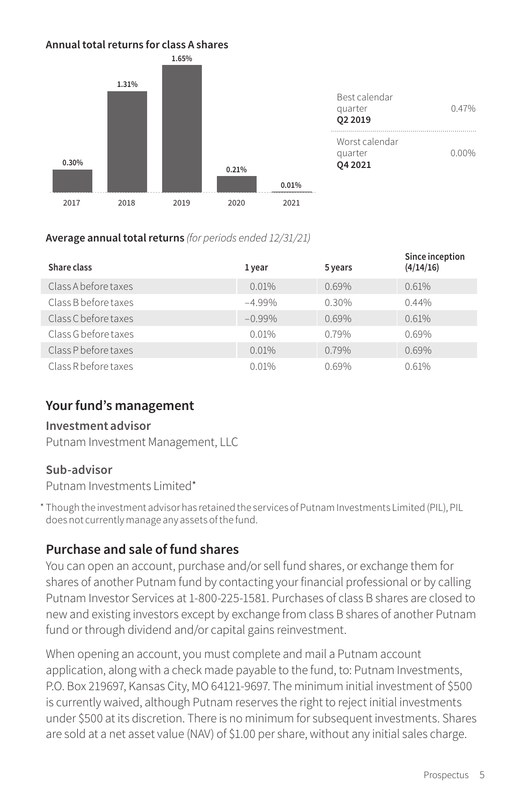

#### **Average annual total returns** *(for periods ended 12/31/21)*

| Share class          | 1 year    | 5 years | Since inception<br>(4/14/16) |
|----------------------|-----------|---------|------------------------------|
| Class A before taxes | 0.01%     | 0.69%   | 0.61%                        |
| Class B before taxes | $-4.99\%$ | 0.30%   | $0.44\%$                     |
| Class C before taxes | $-0.99\%$ | 0.69%   | 0.61%                        |
| Class G before taxes | 0.01%     | 0.79%   | 0.69%                        |
| Class P before taxes | 0.01%     | 0.79%   | 0.69%                        |
| Class R before taxes | 0.01%     | 0.69%   | 0.61%                        |

#### **Your fund's management**

#### **Investment advisor**

Putnam Investment Management, LLC

#### **Sub-advisor**

Putnam Investments Limited\*

\* Though the investment advisor has retained the services of Putnam Investments Limited (PIL), PIL does not currently manage any assets of the fund.

### **Purchase and sale of fund shares**

You can open an account, purchase and/or sell fund shares, or exchange them for shares of another Putnam fund by contacting your financial professional or by calling Putnam Investor Services at 1-800-225-1581. Purchases of class B shares are closed to new and existing investors except by exchange from class B shares of another Putnam fund or through dividend and/or capital gains reinvestment.

When opening an account, you must complete and mail a Putnam account application, along with a check made payable to the fund, to: Putnam Investments, P.O. Box 219697, Kansas City, MO 64121-9697. The minimum initial investment of \$500 is currently waived, although Putnam reserves the right to reject initial investments under \$500 at its discretion. There is no minimum for subsequent investments. Shares are sold at a net asset value (NAV) of \$1.00 per share, without any initial sales charge.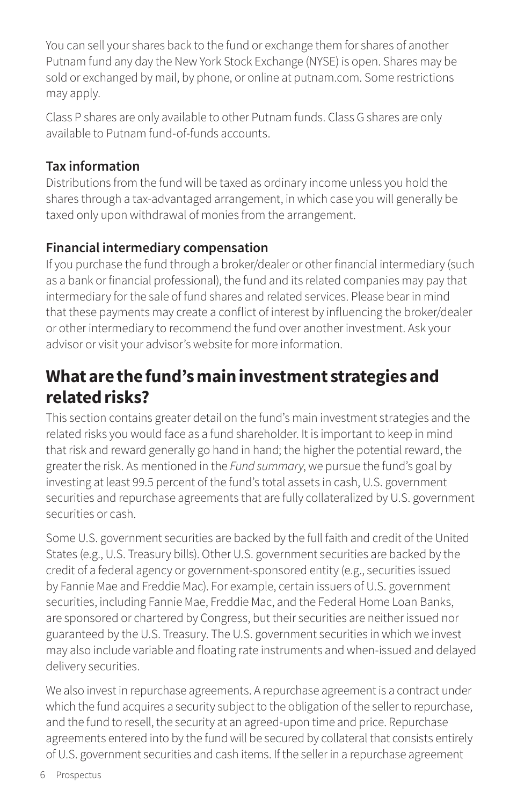You can sell your shares back to the fund or exchange them for shares of another Putnam fund any day the New York Stock Exchange (NYSE) is open. Shares may be sold or exchanged by mail, by phone, or online at [putnam.com.](https://www.putnam.com/individual?ref=SP124.pdf) Some restrictions may apply.

Class P shares are only available to other Putnam funds. Class G shares are only available to Putnam fund-of-funds accounts.

### **Tax information**

Distributions from the fund will be taxed as ordinary income unless you hold the shares through a tax-advantaged arrangement, in which case you will generally be taxed only upon withdrawal of monies from the arrangement.

# **Financial intermediary compensation**

If you purchase the fund through a broker/dealer or other financial intermediary (such as a bank or financial professional), the fund and its related companies may pay that intermediary for the sale of fund shares and related services. Please bear in mind that these payments may create a conflict of interest by influencing the broker/dealer or other intermediary to recommend the fund over another investment. Ask your advisor or visit your advisor's website for more information.

# **What are the fund's main investment strategies and related risks?**

This section contains greater detail on the fund's main investment strategies and the related risks you would face as a fund shareholder. It is important to keep in mind that risk and reward generally go hand in hand; the higher the potential reward, the greater the risk. As mentioned in the *Fund summary*, we pursue the fund's goal by investing at least 99.5 percent of the fund's total assets in cash, U.S. government securities and repurchase agreements that are fully collateralized by U.S. government securities or cash.

Some U.S. government securities are backed by the full faith and credit of the United States (e.g., U.S. Treasury bills). Other U.S. government securities are backed by the credit of a federal agency or government-sponsored entity (e.g., securities issued by Fannie Mae and Freddie Mac). For example, certain issuers of U.S. government securities, including Fannie Mae, Freddie Mac, and the Federal Home Loan Banks, are sponsored or chartered by Congress, but their securities are neither issued nor guaranteed by the U.S. Treasury. The U.S. government securities in which we invest may also include variable and floating rate instruments and when-issued and delayed delivery securities.

We also invest in repurchase agreements. A repurchase agreement is a contract under which the fund acquires a security subject to the obligation of the seller to repurchase, and the fund to resell, the security at an agreed-upon time and price. Repurchase agreements entered into by the fund will be secured by collateral that consists entirely of U.S. government securities and cash items. If the seller in a repurchase agreement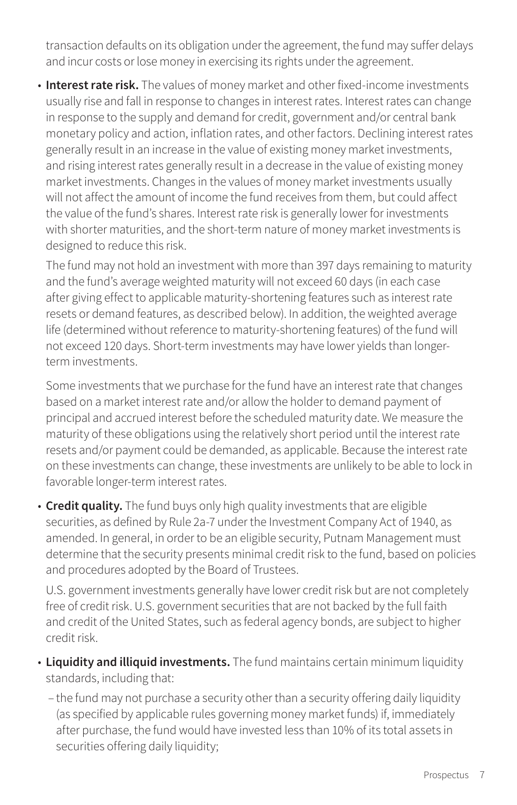transaction defaults on its obligation under the agreement, the fund may suffer delays and incur costs or lose money in exercising its rights under the agreement.

• **Interest rate risk.** The values of money market and other fixed-income investments usually rise and fall in response to changes in interest rates. Interest rates can change in response to the supply and demand for credit, government and/or central bank monetary policy and action, inflation rates, and other factors. Declining interest rates generally result in an increase in the value of existing money market investments, and rising interest rates generally result in a decrease in the value of existing money market investments. Changes in the values of money market investments usually will not affect the amount of income the fund receives from them, but could affect the value of the fund's shares. Interest rate risk is generally lower for investments with shorter maturities, and the short-term nature of money market investments is designed to reduce this risk.

The fund may not hold an investment with more than 397 days remaining to maturity and the fund's average weighted maturity will not exceed 60 days (in each case after giving effect to applicable maturity-shortening features such as interest rate resets or demand features, as described below). In addition, the weighted average life (determined without reference to maturity-shortening features) of the fund will not exceed 120 days. Short-term investments may have lower yields than longerterm investments.

Some investments that we purchase for the fund have an interest rate that changes based on a market interest rate and/or allow the holder to demand payment of principal and accrued interest before the scheduled maturity date. We measure the maturity of these obligations using the relatively short period until the interest rate resets and/or payment could be demanded, as applicable. Because the interest rate on these investments can change, these investments are unlikely to be able to lock in favorable longer-term interest rates.

• **Credit quality.** The fund buys only high quality investments that are eligible securities, as defined by Rule 2a-7 under the Investment Company Act of 1940, as amended. In general, in order to be an eligible security, Putnam Management must determine that the security presents minimal credit risk to the fund, based on policies and procedures adopted by the Board of Trustees.

U.S. government investments generally have lower credit risk but are not completely free of credit risk. U.S. government securities that are not backed by the full faith and credit of the United States, such as federal agency bonds, are subject to higher credit risk.

- **Liquidity and illiquid investments.** The fund maintains certain minimum liquidity standards, including that:
	- the fund may not purchase a security other than a security offering daily liquidity (as specified by applicable rules governing money market funds) if, immediately after purchase, the fund would have invested less than 10% of its total assets in securities offering daily liquidity;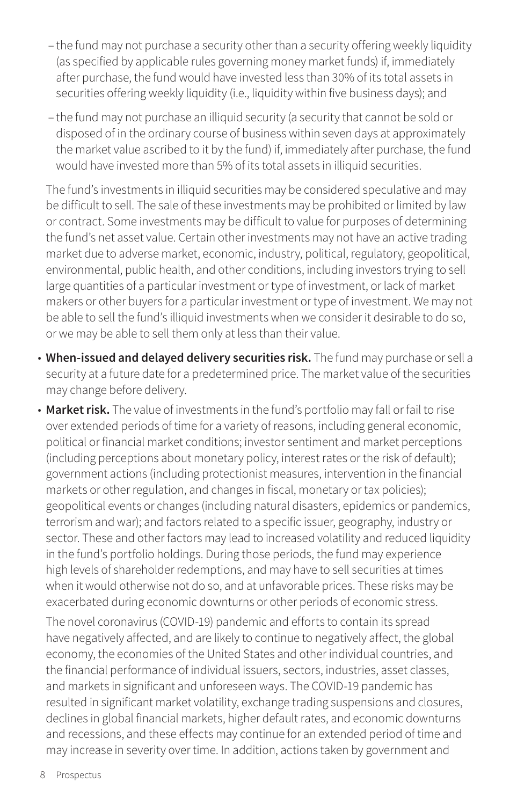- the fund may not purchase a security other than a security offering weekly liquidity (as specified by applicable rules governing money market funds) if, immediately after purchase, the fund would have invested less than 30% of its total assets in securities offering weekly liquidity (i.e., liquidity within five business days); and
- the fund may not purchase an illiquid security (a security that cannot be sold or disposed of in the ordinary course of business within seven days at approximately the market value ascribed to it by the fund) if, immediately after purchase, the fund would have invested more than 5% of its total assets in illiquid securities.

The fund's investments in illiquid securities may be considered speculative and may be difficult to sell. The sale of these investments may be prohibited or limited by law or contract. Some investments may be difficult to value for purposes of determining the fund's net asset value. Certain other investments may not have an active trading market due to adverse market, economic, industry, political, regulatory, geopolitical, environmental, public health, and other conditions, including investors trying to sell large quantities of a particular investment or type of investment, or lack of market makers or other buyers for a particular investment or type of investment. We may not be able to sell the fund's illiquid investments when we consider it desirable to do so, or we may be able to sell them only at less than their value.

- **When-issued and delayed delivery securities risk.** The fund may purchase or sell a security at a future date for a predetermined price. The market value of the securities may change before delivery.
- **Market risk.** The value of investments in the fund's portfolio may fall or fail to rise over extended periods of time for a variety of reasons, including general economic, political or financial market conditions; investor sentiment and market perceptions (including perceptions about monetary policy, interest rates or the risk of default); government actions (including protectionist measures, intervention in the financial markets or other regulation, and changes in fiscal, monetary or tax policies); geopolitical events or changes (including natural disasters, epidemics or pandemics, terrorism and war); and factors related to a specific issuer, geography, industry or sector. These and other factors may lead to increased volatility and reduced liquidity in the fund's portfolio holdings. During those periods, the fund may experience high levels of shareholder redemptions, and may have to sell securities at times when it would otherwise not do so, and at unfavorable prices. These risks may be exacerbated during economic downturns or other periods of economic stress.

The novel coronavirus (COVID-19) pandemic and efforts to contain its spread have negatively affected, and are likely to continue to negatively affect, the global economy, the economies of the United States and other individual countries, and the financial performance of individual issuers, sectors, industries, asset classes, and markets in significant and unforeseen ways. The COVID-19 pandemic has resulted in significant market volatility, exchange trading suspensions and closures, declines in global financial markets, higher default rates, and economic downturns and recessions, and these effects may continue for an extended period of time and may increase in severity over time. In addition, actions taken by government and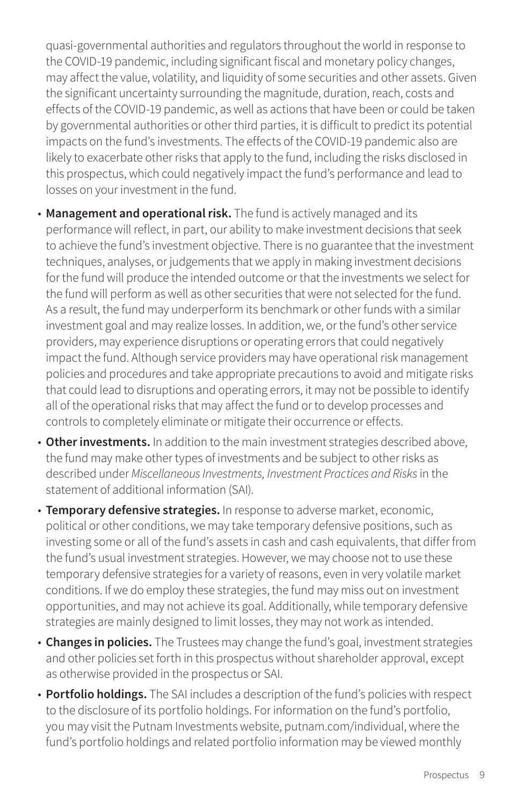quasi‑governmental authorities and regulators throughout the world in response to the COVID-19 pandemic, including significant fiscal and monetary policy changes, may affect the value, volatility, and liquidity of some securities and other assets. Given the significant uncertainty surrounding the magnitude, duration, reach, costs and effects of the COVID-19 pandemic, as well as actions that have been or could be taken by governmental authorities or other third parties, it is difficult to predict its potential impacts on the fund's investments. The effects of the COVID-19 pandemic also are likely to exacerbate other risks that apply to the fund, including the risks disclosed in this prospectus, which could negatively impact the fund's performance and lead to losses on your investment in the fund.

- **Management and operational risk.** The fund is actively managed and its performance will reflect, in part, our ability to make investment decisions that seek to achieve the fund's investment objective. There is no guarantee that the investment techniques, analyses, or judgements that we apply in making investment decisions for the fund will produce the intended outcome or that the investments we select for the fund will perform as well as other securities that were not selected for the fund. As a result, the fund may underperform its benchmark or other funds with a similar investment goal and may realize losses. In addition, we, or the fund's other service providers, may experience disruptions or operating errors that could negatively impact the fund. Although service providers may have operational risk management policies and procedures and take appropriate precautions to avoid and mitigate risks that could lead to disruptions and operating errors, it may not be possible to identify all of the operational risks that may affect the fund or to develop processes and controls to completely eliminate or mitigate their occurrence or effects.
- **Other investments.** In addition to the main investment strategies described above, the fund may make other types of investments and be subject to other risks as described under *Miscellaneous Investments, Investment Practices and Risks* in the statement of additional information (SAI).
- **Temporary defensive strategies.** In response to adverse market, economic, political or other conditions, we may take temporary defensive positions, such as investing some or all of the fund's assets in cash and cash equivalents, that differ from the fund's usual investment strategies. However, we may choose not to use these temporary defensive strategies for a variety of reasons, even in very volatile market conditions. If we do employ these strategies, the fund may miss out on investment opportunities, and may not achieve its goal. Additionally, while temporary defensive strategies are mainly designed to limit losses, they may not work as intended.
- **Changes in policies.** The Trustees may change the fund's goal, investment strategies and other policies set forth in this prospectus without shareholder approval, except as otherwise provided in the prospectus or SAI.
- **Portfolio holdings.** The SAI includes a description of the fund's policies with respect to the disclosure of its portfolio holdings. For information on the fund's portfolio, you may visit the Putnam Investments website, [putnam.com/individual,](https://www.putnam.com/individual?ref=SP124.pdf) where the fund's portfolio holdings and related portfolio information may be viewed monthly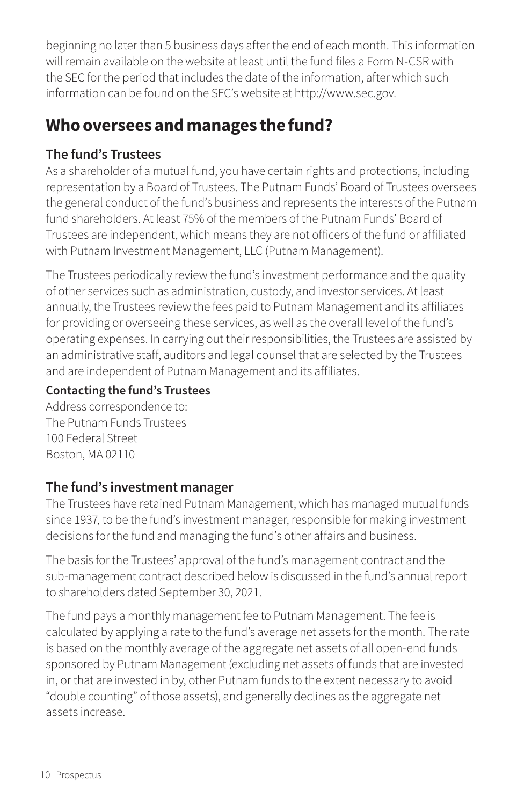beginning no later than 5 business days after the end of each month. This information will remain available on the website at least until the fund files a Form N-CSR with the SEC for the period that includes the date of the information, after which such information can be found on the SEC's website at http://www.sec.gov.

# **Who oversees and manages the fund?**

### **The fund's Trustees**

As a shareholder of a mutual fund, you have certain rights and protections, including representation by a Board of Trustees. The Putnam Funds' Board of Trustees oversees the general conduct of the fund's business and represents the interests of the Putnam fund shareholders. At least 75% of the members of the Putnam Funds' Board of Trustees are independent, which means they are not officers of the fund or affiliated with Putnam Investment Management, LLC (Putnam Management).

The Trustees periodically review the fund's investment performance and the quality of other services such as administration, custody, and investor services. At least annually, the Trustees review the fees paid to Putnam Management and its affiliates for providing or overseeing these services, as well as the overall level of the fund's operating expenses. In carrying out their responsibilities, the Trustees are assisted by an administrative staff, auditors and legal counsel that are selected by the Trustees and are independent of Putnam Management and its affiliates.

### **Contacting the fund's Trustees**

Address correspondence to: The Putnam Funds Trustees 100 Federal Street Boston, MA 02110

### **The fund's investment manager**

The Trustees have retained Putnam Management, which has managed mutual funds since 1937, to be the fund's investment manager, responsible for making investment decisions for the fund and managing the fund's other affairs and business.

The basis for the Trustees' approval of the fund's management contract and the sub-management contract described below is discussed in the fund's annual report to shareholders dated September 30, 2021.

The fund pays a monthly management fee to Putnam Management. The fee is calculated by applying a rate to the fund's average net assets for the month. The rate is based on the monthly average of the aggregate net assets of all open-end funds sponsored by Putnam Management (excluding net assets of funds that are invested in, or that are invested in by, other Putnam funds to the extent necessary to avoid "double counting" of those assets), and generally declines as the aggregate net assets increase.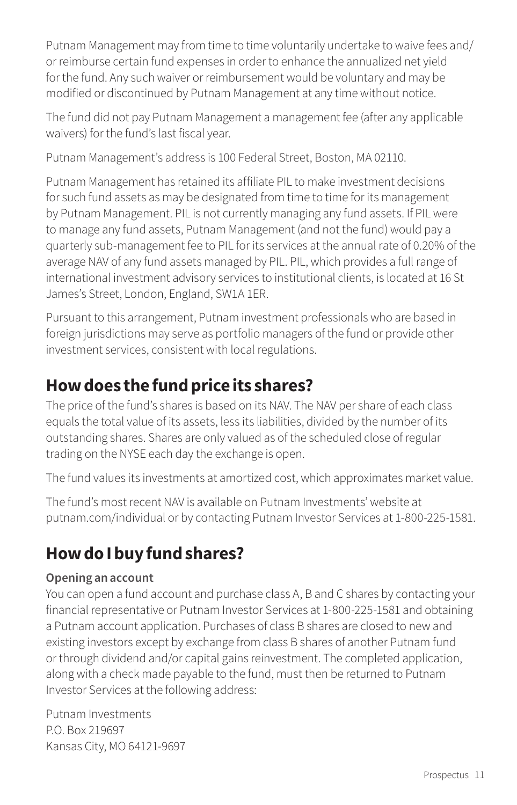Putnam Management may from time to time voluntarily undertake to waive fees and/ or reimburse certain fund expenses in order to enhance the annualized net yield for the fund. Any such waiver or reimbursement would be voluntary and may be modified or discontinued by Putnam Management at any time without notice.

The fund did not pay Putnam Management a management fee (after any applicable waivers) for the fund's last fiscal year.

Putnam Management's address is 100 Federal Street, Boston, MA 02110.

Putnam Management has retained its affiliate PIL to make investment decisions for such fund assets as may be designated from time to time for its management by Putnam Management. PIL is not currently managing any fund assets. If PIL were to manage any fund assets, Putnam Management (and not the fund) would pay a quarterly sub-management fee to PIL for its services at the annual rate of 0.20% of the average NAV of any fund assets managed by PIL. PIL, which provides a full range of international investment advisory services to institutional clients, is located at 16 St James's Street, London, England, SW1A 1ER.

Pursuant to this arrangement, Putnam investment professionals who are based in foreign jurisdictions may serve as portfolio managers of the fund or provide other investment services, consistent with local regulations.

# **How does the fund price its shares?**

The price of the fund's shares is based on its NAV. The NAV per share of each class equals the total value of its assets, less its liabilities, divided by the number of its outstanding shares. Shares are only valued as of the scheduled close of regular trading on the NYSE each day the exchange is open.

The fund values its investments at amortized cost, which approximates market value.

The fund's most recent NAV is available on Putnam Investments' website at [putnam.com/individual](https://www.putnam.com/individual?ref=SP124.pdf) or by contacting Putnam Investor Services at 1-800-225-1581.

# **How do I buy fund shares?**

### **Opening an account**

You can open a fund account and purchase class A, B and C shares by contacting your financial representative or Putnam Investor Services at 1-800-225-1581 and obtaining a Putnam account application. Purchases of class B shares are closed to new and existing investors except by exchange from class B shares of another Putnam fund or through dividend and/or capital gains reinvestment. The completed application, along with a check made payable to the fund, must then be returned to Putnam Investor Services at the following address:

Putnam Investments P.O. Box 219697 Kansas City, MO 64121-9697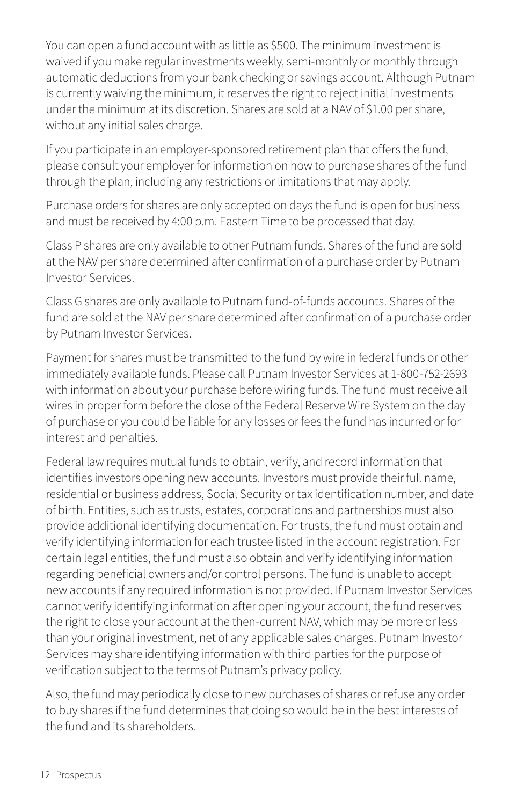You can open a fund account with as little as \$500. The minimum investment is waived if you make regular investments weekly, semi-monthly or monthly through automatic deductions from your bank checking or savings account. Although Putnam is currently waiving the minimum, it reserves the right to reject initial investments under the minimum at its discretion. Shares are sold at a NAV of \$1.00 per share, without any initial sales charge.

If you participate in an employer-sponsored retirement plan that offers the fund, please consult your employer for information on how to purchase shares of the fund through the plan, including any restrictions or limitations that may apply.

Purchase orders for shares are only accepted on days the fund is open for business and must be received by 4:00 p.m. Eastern Time to be processed that day.

Class P shares are only available to other Putnam funds. Shares of the fund are sold at the NAV per share determined after confirmation of a purchase order by Putnam Investor Services.

Class G shares are only available to Putnam fund-of-funds accounts. Shares of the fund are sold at the NAV per share determined after confirmation of a purchase order by Putnam Investor Services.

Payment for shares must be transmitted to the fund by wire in federal funds or other immediately available funds. Please call Putnam Investor Services at 1-800-752-2693 with information about your purchase before wiring funds. The fund must receive all wires in proper form before the close of the Federal Reserve Wire System on the day of purchase or you could be liable for any losses or fees the fund has incurred or for interest and penalties.

Federal law requires mutual funds to obtain, verify, and record information that identifies investors opening new accounts. Investors must provide their full name, residential or business address, Social Security or tax identification number, and date of birth. Entities, such as trusts, estates, corporations and partnerships must also provide additional identifying documentation. For trusts, the fund must obtain and verify identifying information for each trustee listed in the account registration. For certain legal entities, the fund must also obtain and verify identifying information regarding beneficial owners and/or control persons. The fund is unable to accept new accounts if any required information is not provided. If Putnam Investor Services cannot verify identifying information after opening your account, the fund reserves the right to close your account at the then-current NAV, which may be more or less than your original investment, net of any applicable sales charges. Putnam Investor Services may share identifying information with third parties for the purpose of verification subject to the terms of Putnam's privacy policy.

Also, the fund may periodically close to new purchases of shares or refuse any order to buy shares if the fund determines that doing so would be in the best interests of the fund and its shareholders.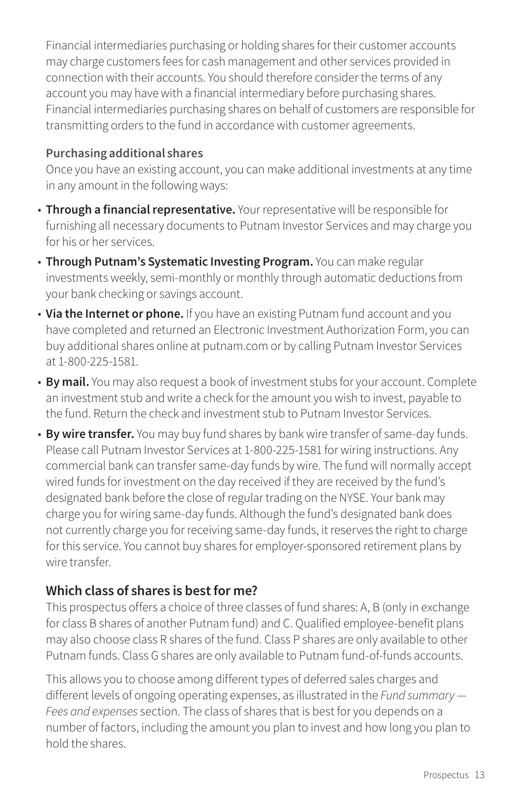Financial intermediaries purchasing or holding shares for their customer accounts may charge customers fees for cash management and other services provided in connection with their accounts. You should therefore consider the terms of any account you may have with a financial intermediary before purchasing shares. Financial intermediaries purchasing shares on behalf of customers are responsible for transmitting orders to the fund in accordance with customer agreements.

#### **Purchasing additional shares**

Once you have an existing account, you can make additional investments at any time in any amount in the following ways:

- **Through a financial representative.** Your representative will be responsible for furnishing all necessary documents to Putnam Investor Services and may charge you for his or her services.
- **Through Putnam's Systematic Investing Program.** You can make regular investments weekly, semi-monthly or monthly through automatic deductions from your bank checking or savings account.
- **Via the Internet or phone.** If you have an existing Putnam fund account and you have completed and returned an Electronic Investment Authorization Form, you can buy additional shares online at [putnam.com](https://www.putnam.com/?ref=SP124.pdf) or by calling Putnam Investor Services at 1-800-225-1581.
- **By mail.** You may also request a book of investment stubs for your account. Complete an investment stub and write a check for the amount you wish to invest, payable to the fund. Return the check and investment stub to Putnam Investor Services.
- **By wire transfer.** You may buy fund shares by bank wire transfer of same-day funds. Please call Putnam Investor Services at 1-800-225-1581 for wiring instructions. Any commercial bank can transfer same-day funds by wire. The fund will normally accept wired funds for investment on the day received if they are received by the fund's designated bank before the close of regular trading on the NYSE. Your bank may charge you for wiring same-day funds. Although the fund's designated bank does not currently charge you for receiving same-day funds, it reserves the right to charge for this service. You cannot buy shares for employer-sponsored retirement plans by wire transfer.

### **Which class of shares is best for me?**

This prospectus offers a choice of three classes of fund shares: A, B (only in exchange for class B shares of another Putnam fund) and C. Qualified employee-benefit plans may also choose class R shares of the fund. Class P shares are only available to other Putnam funds. Class G shares are only available to Putnam fund-of-funds accounts.

This allows you to choose among different types of deferred sales charges and different levels of ongoing operating expenses, as illustrated in the *Fund summary — Fees and expenses* section. The class of shares that is best for you depends on a number of factors, including the amount you plan to invest and how long you plan to hold the shares.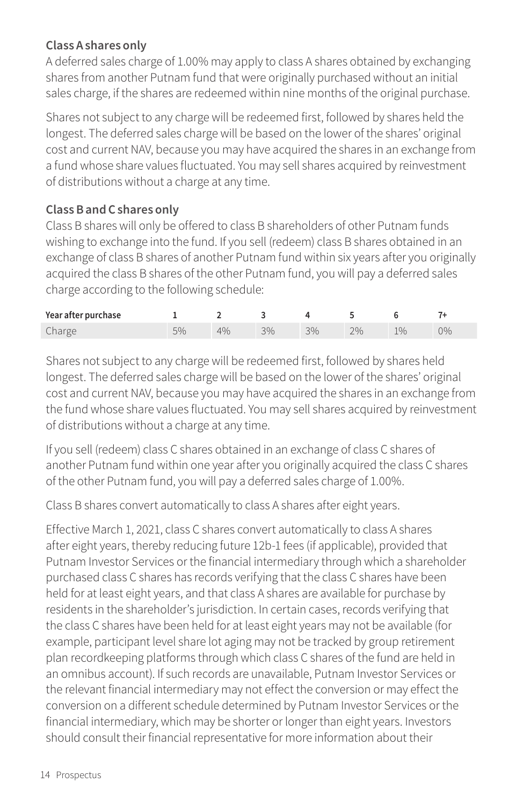#### **Class A shares only**

A deferred sales charge of 1.00% may apply to class A shares obtained by exchanging shares from another Putnam fund that were originally purchased without an initial sales charge, if the shares are redeemed within nine months of the original purchase.

Shares not subject to any charge will be redeemed first, followed by shares held the longest. The deferred sales charge will be based on the lower of the shares' original cost and current NAV, because you may have acquired the shares in an exchange from a fund whose share values fluctuated. You may sell shares acquired by reinvestment of distributions without a charge at any time.

#### **Class B and C shares only**

Class B shares will only be offered to class B shareholders of other Putnam funds wishing to exchange into the fund. If you sell (redeem) class B shares obtained in an exchange of class B shares of another Putnam fund within six years after you originally acquired the class B shares of the other Putnam fund, you will pay a deferred sales charge according to the following schedule:

| Year after purchase |  |      |    |       |
|---------------------|--|------|----|-------|
| Charge              |  | 30/0 | 2% | $0\%$ |

Shares not subject to any charge will be redeemed first, followed by shares held longest. The deferred sales charge will be based on the lower of the shares' original cost and current NAV, because you may have acquired the shares in an exchange from the fund whose share values fluctuated. You may sell shares acquired by reinvestment of distributions without a charge at any time.

If you sell (redeem) class C shares obtained in an exchange of class C shares of another Putnam fund within one year after you originally acquired the class C shares of the other Putnam fund, you will pay a deferred sales charge of 1.00%.

Class B shares convert automatically to class A shares after eight years.

Effective March 1, 2021, class C shares convert automatically to class A shares after eight years, thereby reducing future 12b-1 fees (if applicable), provided that Putnam Investor Services or the financial intermediary through which a shareholder purchased class C shares has records verifying that the class C shares have been held for at least eight years, and that class A shares are available for purchase by residents in the shareholder's jurisdiction. In certain cases, records verifying that the class C shares have been held for at least eight years may not be available (for example, participant level share lot aging may not be tracked by group retirement plan recordkeeping platforms through which class C shares of the fund are held in an omnibus account). If such records are unavailable, Putnam Investor Services or the relevant financial intermediary may not effect the conversion or may effect the conversion on a different schedule determined by Putnam Investor Services or the financial intermediary, which may be shorter or longer than eight years. Investors should consult their financial representative for more information about their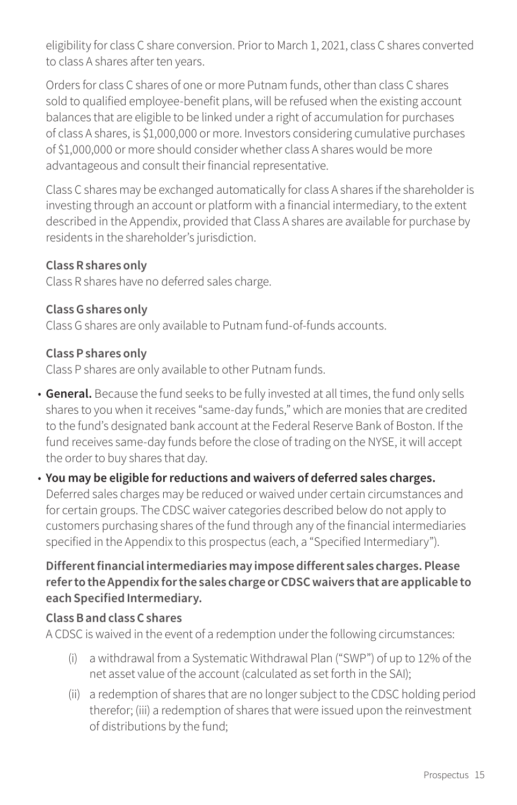eligibility for class C share conversion. Prior to March 1, 2021, class C shares converted to class A shares after ten years.

Orders for class C shares of one or more Putnam funds, other than class C shares sold to qualified employee-benefit plans, will be refused when the existing account balances that are eligible to be linked under a right of accumulation for purchases of class A shares, is \$1,000,000 or more. Investors considering cumulative purchases of \$1,000,000 or more should consider whether class A shares would be more advantageous and consult their financial representative.

Class C shares may be exchanged automatically for class A shares if the shareholder is investing through an account or platform with a financial intermediary, to the extent described in the Appendix, provided that Class A shares are available for purchase by residents in the shareholder's jurisdiction.

#### **Class R shares only**

Class R shares have no deferred sales charge.

#### **Class G shares only**

Class G shares are only available to Putnam fund-of-funds accounts.

#### **Class P shares only**

Class P shares are only available to other Putnam funds.

• **General.** Because the fund seeks to be fully invested at all times, the fund only sells shares to you when it receives "same-day funds," which are monies that are credited to the fund's designated bank account at the Federal Reserve Bank of Boston. If the fund receives same-day funds before the close of trading on the NYSE, it will accept the order to buy shares that day.

• **You may be eligible for reductions and waivers of deferred sales charges.** Deferred sales charges may be reduced or waived under certain circumstances and for certain groups. The CDSC waiver categories described below do not apply to customers purchasing shares of the fund through any of the financial intermediaries specified in the Appendix to this prospectus (each, a "Specified Intermediary").

#### **Different financial intermediaries may impose different sales charges. Please refer to the Appendix for the sales charge or CDSC waivers that are applicable to each Specified Intermediary.**

#### **Class B and class C shares**

A CDSC is waived in the event of a redemption under the following circumstances:

- (i) a withdrawal from a Systematic Withdrawal Plan ("SWP") of up to 12% of the net asset value of the account (calculated as set forth in the SAI);
- (ii) a redemption of shares that are no longer subject to the CDSC holding period therefor; (iii) a redemption of shares that were issued upon the reinvestment of distributions by the fund;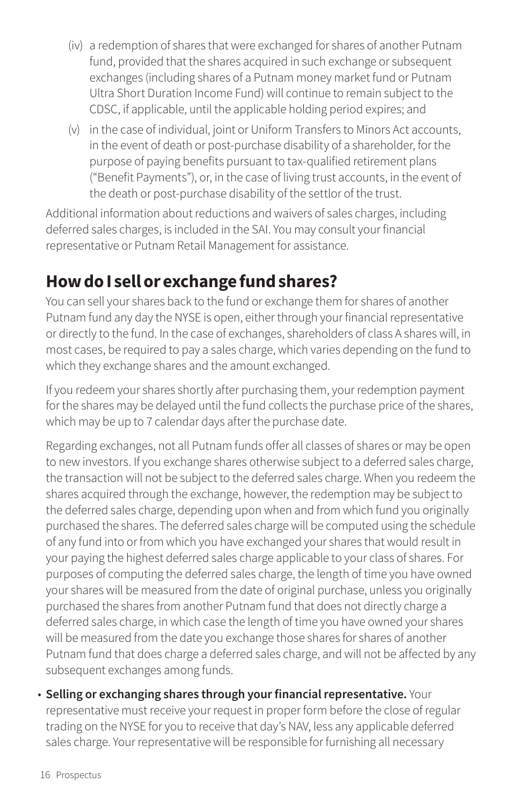- (iv) a redemption of shares that were exchanged for shares of another Putnam fund, provided that the shares acquired in such exchange or subsequent exchanges (including shares of a Putnam money market fund or Putnam Ultra Short Duration Income Fund) will continue to remain subject to the CDSC, if applicable, until the applicable holding period expires; and
- (v) in the case of individual, joint or Uniform Transfers to Minors Act accounts, in the event of death or post-purchase disability of a shareholder, for the purpose of paying benefits pursuant to tax-qualified retirement plans ("Benefit Payments"), or, in the case of living trust accounts, in the event of the death or post-purchase disability of the settlor of the trust.

Additional information about reductions and waivers of sales charges, including deferred sales charges, is included in the SAI. You may consult your financial representative or Putnam Retail Management for assistance.

# **How do I sell or exchange fund shares?**

You can sell your shares back to the fund or exchange them for shares of another Putnam fund any day the NYSE is open, either through your financial representative or directly to the fund. In the case of exchanges, shareholders of class A shares will, in most cases, be required to pay a sales charge, which varies depending on the fund to which they exchange shares and the amount exchanged.

If you redeem your shares shortly after purchasing them, your redemption payment for the shares may be delayed until the fund collects the purchase price of the shares, which may be up to 7 calendar days after the purchase date.

Regarding exchanges, not all Putnam funds offer all classes of shares or may be open to new investors. If you exchange shares otherwise subject to a deferred sales charge, the transaction will not be subject to the deferred sales charge. When you redeem the shares acquired through the exchange, however, the redemption may be subject to the deferred sales charge, depending upon when and from which fund you originally purchased the shares. The deferred sales charge will be computed using the schedule of any fund into or from which you have exchanged your shares that would result in your paying the highest deferred sales charge applicable to your class of shares. For purposes of computing the deferred sales charge, the length of time you have owned your shares will be measured from the date of original purchase, unless you originally purchased the shares from another Putnam fund that does not directly charge a deferred sales charge, in which case the length of time you have owned your shares will be measured from the date you exchange those shares for shares of another Putnam fund that does charge a deferred sales charge, and will not be affected by any subsequent exchanges among funds.

• **Selling or exchanging shares through your financial representative.** Your representative must receive your request in proper form before the close of regular trading on the NYSE for you to receive that day's NAV, less any applicable deferred sales charge. Your representative will be responsible for furnishing all necessary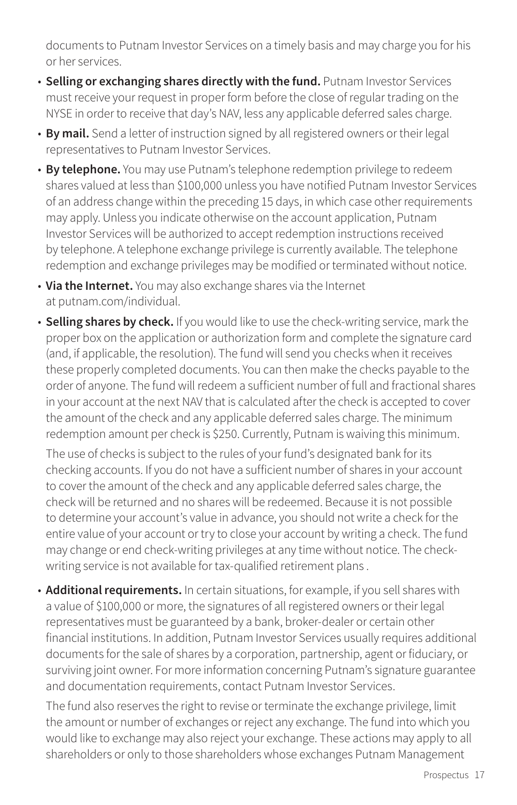documents to Putnam Investor Services on a timely basis and may charge you for his or her services.

- **Selling or exchanging shares directly with the fund.** Putnam Investor Services must receive your request in proper form before the close of regular trading on the NYSE in order to receive that day's NAV, less any applicable deferred sales charge.
- **By mail.** Send a letter of instruction signed by all registered owners or their legal representatives to Putnam Investor Services.
- **By telephone.** You may use Putnam's telephone redemption privilege to redeem shares valued at less than \$100,000 unless you have notified Putnam Investor Services of an address change within the preceding 15 days, in which case other requirements may apply. Unless you indicate otherwise on the account application, Putnam Investor Services will be authorized to accept redemption instructions received by telephone. A telephone exchange privilege is currently available. The telephone redemption and exchange privileges may be modified or terminated without notice.
- **Via the Internet.** You may also exchange shares via the Internet at [putnam.com/individual.](https://www.putnam.com/individual?ref=SP124.pdf)
- **Selling shares by check.** If you would like to use the check-writing service, mark the proper box on the application or authorization form and complete the signature card (and, if applicable, the resolution). The fund will send you checks when it receives these properly completed documents. You can then make the checks payable to the order of anyone. The fund will redeem a sufficient number of full and fractional shares in your account at the next NAV that is calculated after the check is accepted to cover the amount of the check and any applicable deferred sales charge. The minimum redemption amount per check is \$250. Currently, Putnam is waiving this minimum.

The use of checks is subject to the rules of your fund's designated bank for its checking accounts. If you do not have a sufficient number of shares in your account to cover the amount of the check and any applicable deferred sales charge, the check will be returned and no shares will be redeemed. Because it is not possible to determine your account's value in advance, you should not write a check for the entire value of your account or try to close your account by writing a check. The fund may change or end check-writing privileges at any time without notice. The checkwriting service is not available for tax-qualified retirement plans .

• **Additional requirements.** In certain situations, for example, if you sell shares with a value of \$100,000 or more, the signatures of all registered owners or their legal representatives must be guaranteed by a bank, broker-dealer or certain other financial institutions. In addition, Putnam Investor Services usually requires additional documents for the sale of shares by a corporation, partnership, agent or fiduciary, or surviving joint owner. For more information concerning Putnam's signature guarantee and documentation requirements, contact Putnam Investor Services.

The fund also reserves the right to revise or terminate the exchange privilege, limit the amount or number of exchanges or reject any exchange. The fund into which you would like to exchange may also reject your exchange. These actions may apply to all shareholders or only to those shareholders whose exchanges Putnam Management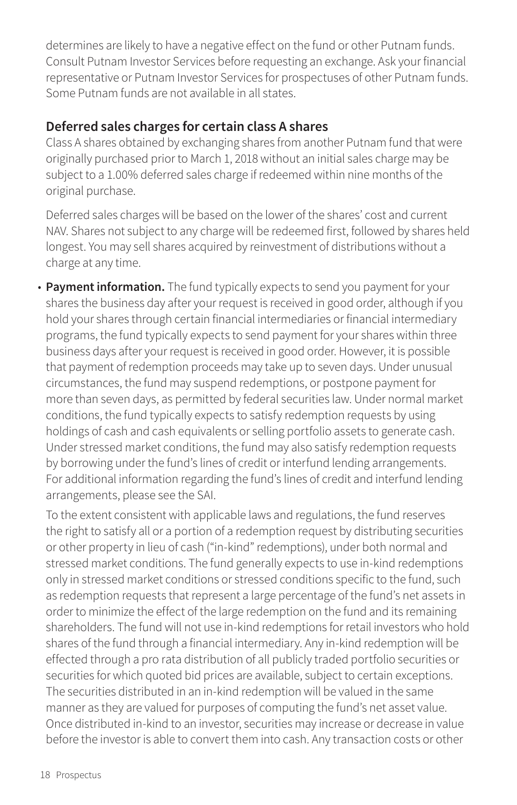determines are likely to have a negative effect on the fund or other Putnam funds. Consult Putnam Investor Services before requesting an exchange. Ask your financial representative or Putnam Investor Services for prospectuses of other Putnam funds. Some Putnam funds are not available in all states.

### **Deferred sales charges for certain class A shares**

Class A shares obtained by exchanging shares from another Putnam fund that were originally purchased prior to March 1, 2018 without an initial sales charge may be subject to a 1.00% deferred sales charge if redeemed within nine months of the original purchase.

Deferred sales charges will be based on the lower of the shares' cost and current NAV. Shares not subject to any charge will be redeemed first, followed by shares held longest. You may sell shares acquired by reinvestment of distributions without a charge at any time.

• **Payment information.** The fund typically expects to send you payment for your shares the business day after your request is received in good order, although if you hold your shares through certain financial intermediaries or financial intermediary programs, the fund typically expects to send payment for your shares within three business days after your request is received in good order. However, it is possible that payment of redemption proceeds may take up to seven days. Under unusual circumstances, the fund may suspend redemptions, or postpone payment for more than seven days, as permitted by federal securities law. Under normal market conditions, the fund typically expects to satisfy redemption requests by using holdings of cash and cash equivalents or selling portfolio assets to generate cash. Under stressed market conditions, the fund may also satisfy redemption requests by borrowing under the fund's lines of credit or interfund lending arrangements. For additional information regarding the fund's lines of credit and interfund lending arrangements, please see the SAI.

To the extent consistent with applicable laws and regulations, the fund reserves the right to satisfy all or a portion of a redemption request by distributing securities or other property in lieu of cash ("in-kind" redemptions), under both normal and stressed market conditions. The fund generally expects to use in-kind redemptions only in stressed market conditions or stressed conditions specific to the fund, such as redemption requests that represent a large percentage of the fund's net assets in order to minimize the effect of the large redemption on the fund and its remaining shareholders. The fund will not use in-kind redemptions for retail investors who hold shares of the fund through a financial intermediary. Any in-kind redemption will be effected through a pro rata distribution of all publicly traded portfolio securities or securities for which quoted bid prices are available, subject to certain exceptions. The securities distributed in an in-kind redemption will be valued in the same manner as they are valued for purposes of computing the fund's net asset value. Once distributed in-kind to an investor, securities may increase or decrease in value before the investor is able to convert them into cash. Any transaction costs or other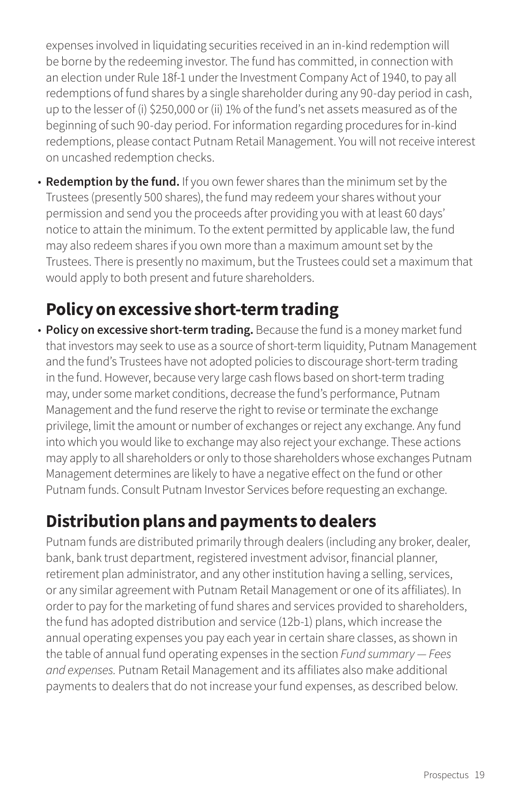expenses involved in liquidating securities received in an in-kind redemption will be borne by the redeeming investor. The fund has committed, in connection with an election under Rule 18f-1 under the Investment Company Act of 1940, to pay all redemptions of fund shares by a single shareholder during any 90-day period in cash, up to the lesser of (i) \$250,000 or (ii) 1% of the fund's net assets measured as of the beginning of such 90-day period. For information regarding procedures for in-kind redemptions, please contact Putnam Retail Management. You will not receive interest on uncashed redemption checks.

• **Redemption by the fund.** If you own fewer shares than the minimum set by the Trustees (presently 500 shares), the fund may redeem your shares without your permission and send you the proceeds after providing you with at least 60 days' notice to attain the minimum. To the extent permitted by applicable law, the fund may also redeem shares if you own more than a maximum amount set by the Trustees. There is presently no maximum, but the Trustees could set a maximum that would apply to both present and future shareholders.

# **Policy on excessive short-term trading**

• **Policy on excessive short-term trading.** Because the fund is a money market fund that investors may seek to use as a source of short-term liquidity, Putnam Management and the fund's Trustees have not adopted policies to discourage short-term trading in the fund. However, because very large cash flows based on short-term trading may, under some market conditions, decrease the fund's performance, Putnam Management and the fund reserve the right to revise or terminate the exchange privilege, limit the amount or number of exchanges or reject any exchange. Any fund into which you would like to exchange may also reject your exchange. These actions may apply to all shareholders or only to those shareholders whose exchanges Putnam Management determines are likely to have a negative effect on the fund or other Putnam funds. Consult Putnam Investor Services before requesting an exchange.

# **Distribution plans and payments to dealers**

Putnam funds are distributed primarily through dealers (including any broker, dealer, bank, bank trust department, registered investment advisor, financial planner, retirement plan administrator, and any other institution having a selling, services, or any similar agreement with Putnam Retail Management or one of its affiliates). In order to pay for the marketing of fund shares and services provided to shareholders, the fund has adopted distribution and service (12b-1) plans, which increase the annual operating expenses you pay each year in certain share classes, as shown in the table of annual fund operating expenses in the section *Fund summary — Fees and expenses.* Putnam Retail Management and its affiliates also make additional payments to dealers that do not increase your fund expenses, as described below.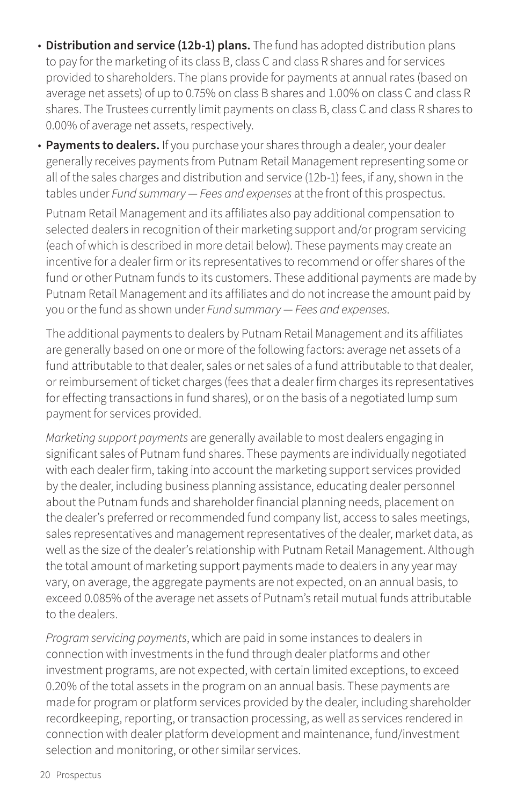- **Distribution and service (12b-1) plans.** The fund has adopted distribution plans to pay for the marketing of its class B, class C and class R shares and for services provided to shareholders. The plans provide for payments at annual rates (based on average net assets) of up to 0.75% on class B shares and 1.00% on class C and class R shares. The Trustees currently limit payments on class B, class C and class R shares to 0.00% of average net assets, respectively.
- **Payments to dealers.** If you purchase your shares through a dealer, your dealer generally receives payments from Putnam Retail Management representing some or all of the sales charges and distribution and service (12b-1) fees, if any, shown in the tables under *Fund summary — Fees and expenses* at the front of this prospectus.

Putnam Retail Management and its affiliates also pay additional compensation to selected dealers in recognition of their marketing support and/or program servicing (each of which is described in more detail below). These payments may create an incentive for a dealer firm or its representatives to recommend or offer shares of the fund or other Putnam funds to its customers. These additional payments are made by Putnam Retail Management and its affiliates and do not increase the amount paid by you or the fund as shown under *Fund summary — Fees and expenses*.

The additional payments to dealers by Putnam Retail Management and its affiliates are generally based on one or more of the following factors: average net assets of a fund attributable to that dealer, sales or net sales of a fund attributable to that dealer, or reimbursement of ticket charges (fees that a dealer firm charges its representatives for effecting transactions in fund shares), or on the basis of a negotiated lump sum payment for services provided.

*Marketing support payments* are generally available to most dealers engaging in significant sales of Putnam fund shares. These payments are individually negotiated with each dealer firm, taking into account the marketing support services provided by the dealer, including business planning assistance, educating dealer personnel about the Putnam funds and shareholder financial planning needs, placement on the dealer's preferred or recommended fund company list, access to sales meetings, sales representatives and management representatives of the dealer, market data, as well as the size of the dealer's relationship with Putnam Retail Management. Although the total amount of marketing support payments made to dealers in any year may vary, on average, the aggregate payments are not expected, on an annual basis, to exceed 0.085% of the average net assets of Putnam's retail mutual funds attributable to the dealers.

*Program servicing payments*, which are paid in some instances to dealers in connection with investments in the fund through dealer platforms and other investment programs, are not expected, with certain limited exceptions, to exceed 0.20% of the total assets in the program on an annual basis. These payments are made for program or platform services provided by the dealer, including shareholder recordkeeping, reporting, or transaction processing, as well as services rendered in connection with dealer platform development and maintenance, fund/investment selection and monitoring, or other similar services.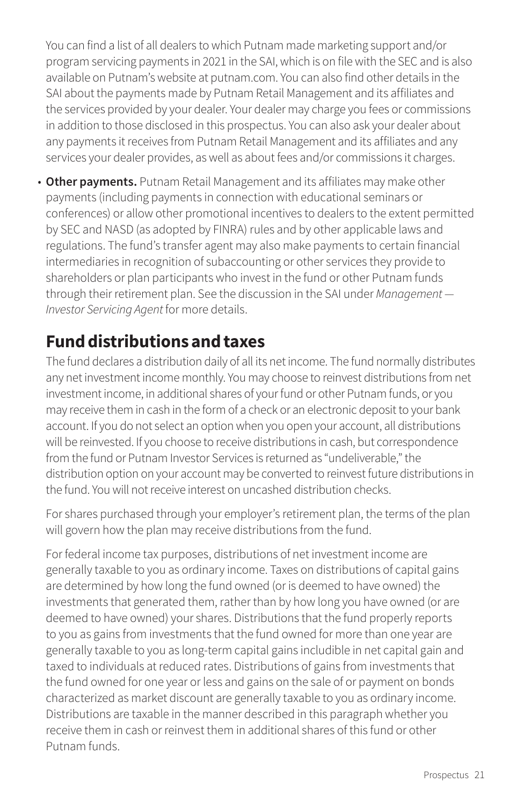You can find a list of all dealers to which Putnam made marketing support and/or program servicing payments in 2021 in the SAI, which is on file with the SEC and is also available on Putnam's website at [putnam.com.](https://www.putnam.com?ref=SP124.pdf) You can also find other details in the SAI about the payments made by Putnam Retail Management and its affiliates and the services provided by your dealer. Your dealer may charge you fees or commissions in addition to those disclosed in this prospectus. You can also ask your dealer about any payments it receives from Putnam Retail Management and its affiliates and any services your dealer provides, as well as about fees and/or commissions it charges.

• **Other payments.** Putnam Retail Management and its affiliates may make other payments (including payments in connection with educational seminars or conferences) or allow other promotional incentives to dealers to the extent permitted by SEC and NASD (as adopted by FINRA) rules and by other applicable laws and regulations. The fund's transfer agent may also make payments to certain financial intermediaries in recognition of subaccounting or other services they provide to shareholders or plan participants who invest in the fund or other Putnam funds through their retirement plan. See the discussion in the SAI under *Management — Investor Servicing Agent* for more details.

# **Fund distributions and taxes**

The fund declares a distribution daily of all its net income. The fund normally distributes any net investment income monthly. You may choose to reinvest distributions from net investment income, in additional shares of your fund or other Putnam funds, or you may receive them in cash in the form of a check or an electronic deposit to your bank account. If you do not select an option when you open your account, all distributions will be reinvested. If you choose to receive distributions in cash, but correspondence from the fund or Putnam Investor Services is returned as "undeliverable," the distribution option on your account may be converted to reinvest future distributions in the fund. You will not receive interest on uncashed distribution checks.

For shares purchased through your employer's retirement plan, the terms of the plan will govern how the plan may receive distributions from the fund.

For federal income tax purposes, distributions of net investment income are generally taxable to you as ordinary income. Taxes on distributions of capital gains are determined by how long the fund owned (or is deemed to have owned) the investments that generated them, rather than by how long you have owned (or are deemed to have owned) your shares. Distributions that the fund properly reports to you as gains from investments that the fund owned for more than one year are generally taxable to you as long-term capital gains includible in net capital gain and taxed to individuals at reduced rates. Distributions of gains from investments that the fund owned for one year or less and gains on the sale of or payment on bonds characterized as market discount are generally taxable to you as ordinary income. Distributions are taxable in the manner described in this paragraph whether you receive them in cash or reinvest them in additional shares of this fund or other Putnam funds.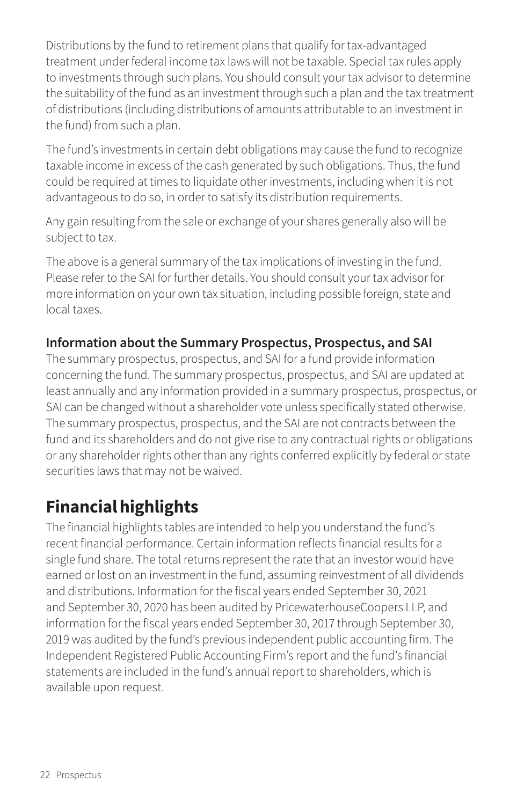Distributions by the fund to retirement plans that qualify for tax-advantaged treatment under federal income tax laws will not be taxable. Special tax rules apply to investments through such plans. You should consult your tax advisor to determine the suitability of the fund as an investment through such a plan and the tax treatment of distributions (including distributions of amounts attributable to an investment in the fund) from such a plan.

The fund's investments in certain debt obligations may cause the fund to recognize taxable income in excess of the cash generated by such obligations. Thus, the fund could be required at times to liquidate other investments, including when it is not advantageous to do so, in order to satisfy its distribution requirements.

Any gain resulting from the sale or exchange of your shares generally also will be subject to tax.

The above is a general summary of the tax implications of investing in the fund. Please refer to the SAI for further details. You should consult your tax advisor for more information on your own tax situation, including possible foreign, state and local taxes.

# **Information about the Summary Prospectus, Prospectus, and SAI**

The summary prospectus, prospectus, and SAI for a fund provide information concerning the fund. The summary prospectus, prospectus, and SAI are updated at least annually and any information provided in a summary prospectus, prospectus, or SAI can be changed without a shareholder vote unless specifically stated otherwise. The summary prospectus, prospectus, and the SAI are not contracts between the fund and its shareholders and do not give rise to any contractual rights or obligations or any shareholder rights other than any rights conferred explicitly by federal or state securities laws that may not be waived.

# **Financial highlights**

The financial highlights tables are intended to help you understand the fund's recent financial performance. Certain information reflects financial results for a single fund share. The total returns represent the rate that an investor would have earned or lost on an investment in the fund, assuming reinvestment of all dividends and distributions. Information for the fiscal years ended September 30, 2021 and September 30, 2020 has been audited by PricewaterhouseCoopers LLP, and information for the fiscal years ended September 30, 2017 through September 30, 2019 was audited by the fund's previous independent public accounting firm. The Independent Registered Public Accounting Firm's report and the fund's financial statements are included in the fund's annual report to shareholders, which is available upon request.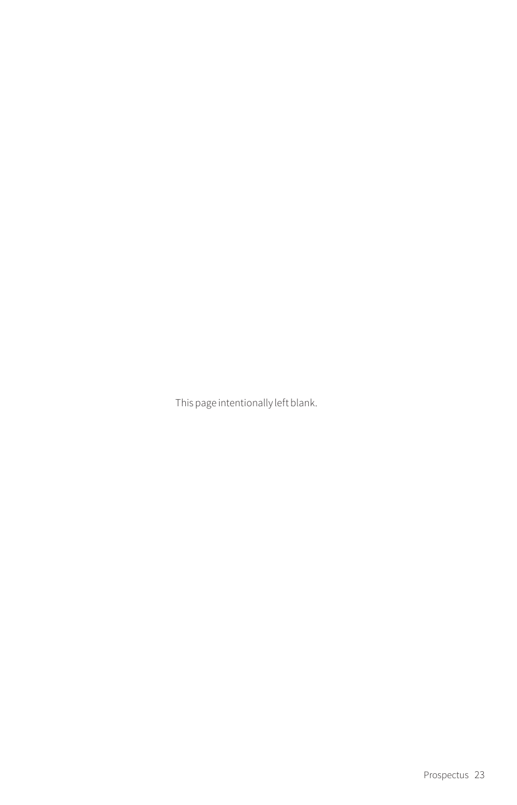This page intentionally left blank.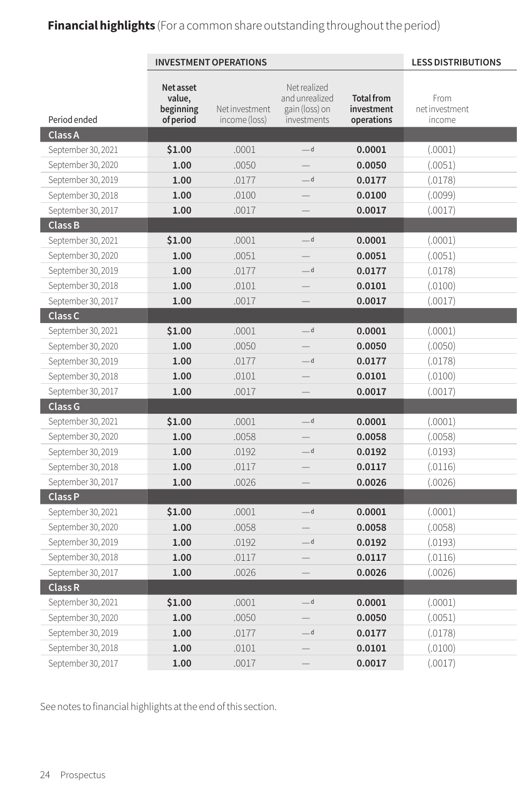|                    |                                               | <b>INVESTMENT OPERATIONS</b>    |                                                                 |                                               | <b>LESS DISTRIBUTIONS</b>        |
|--------------------|-----------------------------------------------|---------------------------------|-----------------------------------------------------------------|-----------------------------------------------|----------------------------------|
| Period ended       | Net asset<br>value,<br>beginning<br>of period | Net investment<br>income (loss) | Net realized<br>and unrealized<br>gain (loss) on<br>investments | <b>Total from</b><br>investment<br>operations | From<br>net investment<br>income |
| Class A            |                                               |                                 |                                                                 |                                               |                                  |
| September 30, 2021 | \$1.00                                        | .0001                           | $\rule{1em}{0.15mm}$                                            | 0.0001                                        | (.0001)                          |
| September 30, 2020 | 1.00                                          | .0050                           | $\overline{\phantom{0}}$                                        | 0.0050                                        | (.0051)                          |
| September 30, 2019 | 1.00                                          | .0177                           | $-d$                                                            | 0.0177                                        | (.0178)                          |
| September 30, 2018 | $1.00\,$                                      | .0100                           | $\qquad \qquad -$                                               | 0.0100                                        | (.0099)                          |
| September 30, 2017 | 1.00                                          | .0017                           | $\equiv$                                                        | 0.0017                                        | (.0017)                          |
| Class B            |                                               |                                 |                                                                 |                                               |                                  |
| September 30, 2021 | \$1.00                                        | .0001                           | $\rule{1em}{0.15mm}$                                            | 0.0001                                        | (.0001)                          |
| September 30, 2020 | 1.00                                          | .0051                           | $\overline{\phantom{0}}$                                        | 0.0051                                        | (.0051)                          |
| September 30, 2019 | 1.00                                          | .0177                           | $-\mathsf{d}$                                                   | 0.0177                                        | (.0178)                          |
| September 30, 2018 | 1.00                                          | .0101                           | $-$                                                             | 0.0101                                        | (.0100)                          |
| September 30, 2017 | 1.00                                          | .0017                           |                                                                 | 0.0017                                        | (.0017)                          |
| Class C            |                                               |                                 |                                                                 |                                               |                                  |
| September 30, 2021 | \$1.00                                        | .0001                           | $-\,$ d                                                         | 0.0001                                        | (.0001)                          |
| September 30, 2020 | 1.00                                          | .0050                           | $\overline{\phantom{0}}$                                        | 0.0050                                        | (.0050)                          |
| September 30, 2019 | 1.00                                          | .0177                           | $-d$                                                            | 0.0177                                        | (.0178)                          |
| September 30, 2018 | 1.00                                          | .0101                           | $\overline{\phantom{0}}$                                        | 0.0101                                        | (.0100)                          |
| September 30, 2017 | 1.00                                          | .0017                           | $\overline{\phantom{0}}$                                        | 0.0017                                        | (.0017)                          |
| Class G            |                                               |                                 |                                                                 |                                               |                                  |
| September 30, 2021 | \$1.00                                        | .0001                           | $\rule{1em}{0.15mm}$                                            | 0.0001                                        | (.0001)                          |
|                    |                                               |                                 |                                                                 |                                               |                                  |
| September 30, 2020 | 1.00                                          | .0058                           | $\overline{\phantom{0}}$                                        | 0.0058                                        | (.0058)                          |
| September 30, 2019 | 1.00                                          | .0192                           | $-\,$ d                                                         | 0.0192                                        | (.0193)                          |
| September 30, 2018 | 1.00                                          | .0117                           | $-$                                                             | 0.0117                                        | (.0116)                          |
| September 30, 2017 | 1.00                                          | .0026                           | —<br>—                                                          | 0.0026                                        | (.0026)                          |
| Class P            |                                               |                                 |                                                                 |                                               |                                  |
| September 30, 2021 | \$1.00                                        | .0001                           | $\rule{1em}{0.15mm}$ d                                          | 0.0001                                        | (.0001)                          |
| September 30, 2020 | 1.00                                          | .0058                           | $\overline{\phantom{0}}$                                        | 0.0058                                        | (.0058)                          |
| September 30, 2019 | 1.00                                          | .0192                           | $-d$                                                            | 0.0192                                        | (.0193)                          |
| September 30, 2018 | 1.00                                          | .0117                           | $\overline{\phantom{0}}$                                        | 0.0117                                        | (.0116)                          |
| September 30, 2017 | 1.00                                          | .0026                           | $\equiv$                                                        | 0.0026                                        | (.0026)                          |
| Class R            |                                               |                                 |                                                                 |                                               |                                  |
| September 30, 2021 | \$1.00                                        | .0001                           | $\rule{1em}{0.15mm}$                                            | 0.0001                                        | (.0001)                          |
| September 30, 2020 | 1.00                                          | .0050                           | $\overline{\phantom{0}}$                                        | 0.0050                                        | (.0051)                          |
| September 30, 2019 | 1.00                                          | .0177                           | $-\,$ d                                                         | 0.0177                                        | (.0178)                          |
| September 30, 2018 | 1.00                                          | .0101                           | $\equiv$                                                        | 0.0101                                        | (.0100)                          |
| September 30, 2017 | 1.00                                          | .0017                           |                                                                 | 0.0017                                        | (.0017)                          |

See notes to financial highlights at the end of this section.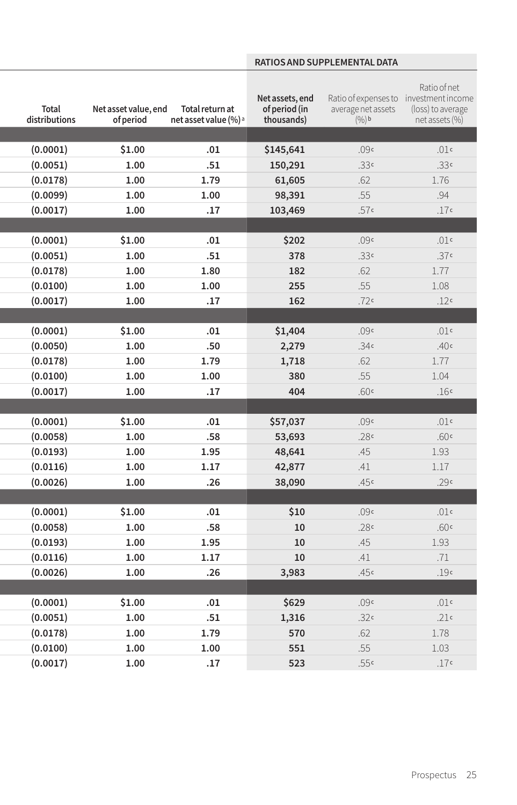#### **Total distributions Net asset value, end of period Total return at net asset value (%)**<sup>a</sup> **Net assets, end of period (in thousands)** Ratio of expenses to investment income average net assets  $(0/0)$  b Ratio of net (loss) to average net assets (%) September 30, 2021 **\$1.00** .0001 —<sup>d</sup> **0.0001** (.0001) **(0.0001) \$1.00 .01 \$145,641** .09<sup>c</sup> .01<sup>c</sup> September 30, 2020 **1.00** .0050 — **0.0050** (.0051) **(0.0051) 1.00 .51 150,291** .33<sup>c</sup> .33<sup>c</sup> September 30, 2019 **1.00** .0177 —<sup>d</sup> **0.0177** (.0178) **(0.0178) 1.00 1.79 61,605** .62 1.76 September 30, 2018 **1.00** .0100 — **0.0100** (.0099) **(0.0099) 1.00 1.00 98,391** .55 .94 September 30, 2017 **1.00** .0017 — **0.0017** (.0017) **(0.0017) 1.00 .17 103,469** .57<sup>c</sup> .17<sup>c</sup> September 30, 2021 **\$1.00** .0001 —<sup>d</sup> **0.0001** (.0001) **(0.0001) \$1.00 .01 \$202** .09<sup>c</sup> .01<sup>c</sup> September 30, 2020 **1.00** .0051 — **0.0051** (.0051) **(0.0051) 1.00 .51 378** .33<sup>c</sup> .37<sup>c</sup> September 30, 2019 **1.00** .0177 —<sup>d</sup> **0.0177** (.0178) **(0.0178) 1.00 1.80 182** .62 1.77 September 30, 2018 **1.00** .0101 — **0.0101** (.0100) **(0.0100) 1.00 1.00 255** .55 1.08 September 30, 2017 **1.00** .0017 — **0.0017** (.0017) **(0.0017) 1.00 .17 162** .72<sup>c</sup> .12<sup>c</sup> September 30, 2021 **\$1.00** .0001 —<sup>d</sup> **0.0001** (.0001) **(0.0001) \$1.00 .01 \$1,404** .09<sup>c</sup> .01<sup>c</sup> September 30, 2020 **1.00** .0050 — **0.0050** (.0050) **(0.0050) 1.00 .50 2,279** .34<sup>c</sup> .40<sup>c</sup> September 30, 2019 **1.00** .0177 —<sup>d</sup> **0.0177** (.0178) **(0.0178) 1.00 1.79 1,718** .62 1.77 September 30, 2018 **1.00** .0101 — **0.0101** (.0100) **(0.0100) 1.00 1.00 380** .55 1.04 September 30, 2017 **1.00** .0017 — **0.0017** (.0017) **(0.0017) 1.00 .17 404** .60<sup>c</sup> .16<sup>c</sup> September 30, 2021 **\$1.00** .0001 —<sup>d</sup> **0.0001** (.0001) **(0.0001) \$1.00 .01 \$57,037** .09<sup>c</sup> .01<sup>c</sup> September 30, 2020 **1.00** .0058 — **0.0058** (.0058) **(0.0058) 1.00 .58 53,693** .28<sup>c</sup> .60<sup>c</sup> September 30, 2019 **1.00** .0192 —<sup>d</sup> **0.0192** (.0193) **(0.0193) 1.00 1.95 48,641** .45 1.93 September 30, 2018 **1.00** .0117 — **0.0117** (.0116) **(0.0116) 1.00 1.17 42,877** .41 1.17 September 30, 2017 **1.00** .0026 — **0.0026** (.0026) **(0.0026) 1.00 .26 38,090** .45<sup>c</sup> .29<sup>c</sup> September 30, 2021 **\$1.00** .0001 —<sup>d</sup> **0.0001** (.0001) **(0.0001) \$1.00 .01 \$10** .09<sup>c</sup> .01<sup>c</sup> September 30, 2020 **1.00** .0058 — **0.0058** (.0058) **(0.0058) 1.00 .58 10** .28<sup>c</sup> .60<sup>c</sup> September 30, 2019 **1.00** .0192 —<sup>d</sup> **0.0192** (.0193) **(0.0193) 1.00 1.95 10** .45 1.93 September 30, 2018 **1.00** .0117 — **0.0117** (.0116) **(0.0116) 1.00 1.17 10** .41 .71 September 30, 2017 **1.00** .0026 — **0.0026** (.0026) **(0.0026) 1.00 .26 3,983** .45<sup>c</sup> .19<sup>c</sup> September 30, 2021 **\$1.00** .0001 —<sup>d</sup> **0.0001** (.0001) **(0.0001) \$1.00 .01 \$629** .09<sup>c</sup> .01<sup>c</sup> September 30, 2020 **1.00** .0050 — **0.0050** (.0051) **(0.0051) 1.00 .51 1,316** .32<sup>c</sup> .21<sup>c</sup> September 30, 2019 **1.00** .0177 —<sup>d</sup> **0.0177** (.0178) **(0.0178) 1.00 1.79 570** .62 1.78 September 30, 2018 **1.00** .0101 — **0.0101** (.0100) **(0.0100) 1.00 1.00 551** .55 1.03 September 30, 2017 **1.00** .0017 — **0.0017** (.0017) **(0.0017) 1.00 .17 523** .55<sup>c</sup> .17<sup>c</sup>

#### **RATIOS AND SUPPLEMENTAL DATA**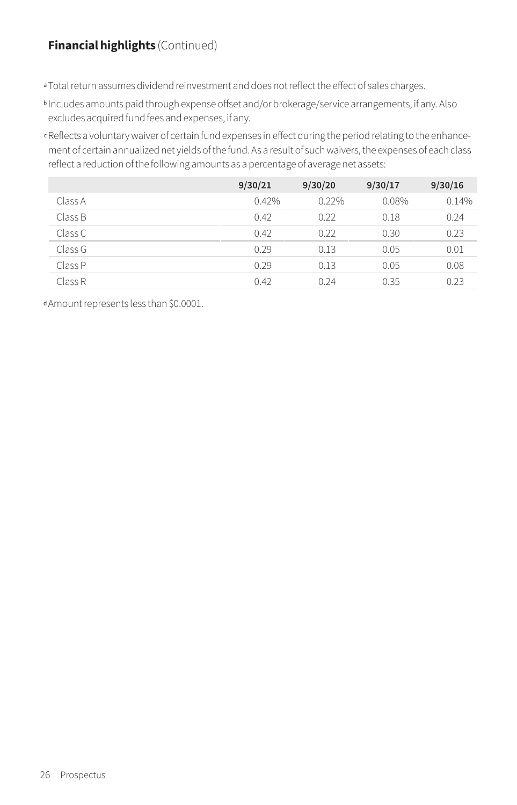#### **Financial highlights** (Continued)

a Total return assumes dividend reinvestment and does not reflect the effect of sales charges.

<sup>b</sup> Includes amounts paid through expense offset and/or brokerage/service arrangements, if any. Also excludes acquired fund fees and expenses, if any.

c Reflects a voluntary waiver of certain fund expenses in effect during the period relating to the enhancement of certain annualized net yields of the fund. As a result of such waivers, the expenses of each class reflect a reduction of the following amounts as a percentage of average net assets:

|         | 9/30/21 | 9/30/20 | 9/30/17 | 9/30/16 |
|---------|---------|---------|---------|---------|
| Class A | 0.42%   | 0.22%   | 0.08%   | 0.14%   |
| Class B | 0.42    | 0.22    | 0.18    | 0.24    |
| Class C | 0.42    | 0.22    | 0.30    | 0.23    |
| Class G | 0.29    | 0.13    | 0.05    | 0.01    |
| Class P | 0.29    | 0.13    | 0.05    | 0.08    |
| Class R | 0.42    | 0.24    | 0.35    | 0.23    |

<sup>d</sup> Amount represents less than \$0.0001.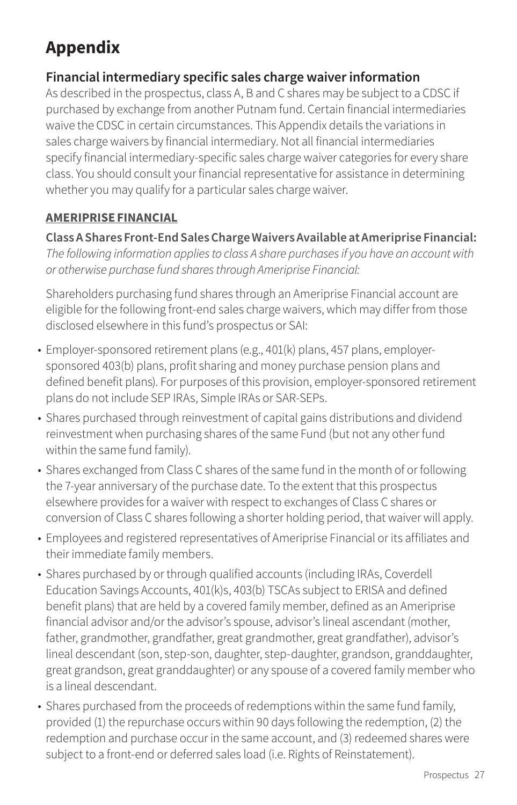# **Appendix**

# **Financial intermediary specific sales charge waiver information**

As described in the prospectus, class A, B and C shares may be subject to a CDSC if purchased by exchange from another Putnam fund. Certain financial intermediaries waive the CDSC in certain circumstances. This Appendix details the variations in sales charge waivers by financial intermediary. Not all financial intermediaries specify financial intermediary-specific sales charge waiver categories for every share class. You should consult your financial representative for assistance in determining whether you may qualify for a particular sales charge waiver.

### **AMERIPRISE FINANCIAL**

**Class A Shares Front-End Sales Charge Waivers Available at Ameriprise Financial:**

*The following information applies to class A share purchases if you have an account with or otherwise purchase fund shares through Ameriprise Financial:*

Shareholders purchasing fund shares through an Ameriprise Financial account are eligible for the following front-end sales charge waivers, which may differ from those disclosed elsewhere in this fund's prospectus or SAI:

- Employer-sponsored retirement plans (e.g., 401(k) plans, 457 plans, employersponsored 403(b) plans, profit sharing and money purchase pension plans and defined benefit plans). For purposes of this provision, employer-sponsored retirement plans do not include SEP IRAs, Simple IRAs or SAR-SEPs.
- Shares purchased through reinvestment of capital gains distributions and dividend reinvestment when purchasing shares of the same Fund (but not any other fund within the same fund family).
- Shares exchanged from Class C shares of the same fund in the month of or following the 7-year anniversary of the purchase date. To the extent that this prospectus elsewhere provides for a waiver with respect to exchanges of Class C shares or conversion of Class C shares following a shorter holding period, that waiver will apply.
- Employees and registered representatives of Ameriprise Financial or its affiliates and their immediate family members.
- Shares purchased by or through qualified accounts (including IRAs, Coverdell Education Savings Accounts, 401(k)s, 403(b) TSCAs subject to ERISA and defined benefit plans) that are held by a covered family member, defined as an Ameriprise financial advisor and/or the advisor's spouse, advisor's lineal ascendant (mother, father, grandmother, grandfather, great grandmother, great grandfather), advisor's lineal descendant (son, step-son, daughter, step-daughter, grandson, granddaughter, great grandson, great granddaughter) or any spouse of a covered family member who is a lineal descendant.
- Shares purchased from the proceeds of redemptions within the same fund family, provided (1) the repurchase occurs within 90 days following the redemption, (2) the redemption and purchase occur in the same account, and (3) redeemed shares were subject to a front-end or deferred sales load (i.e. Rights of Reinstatement).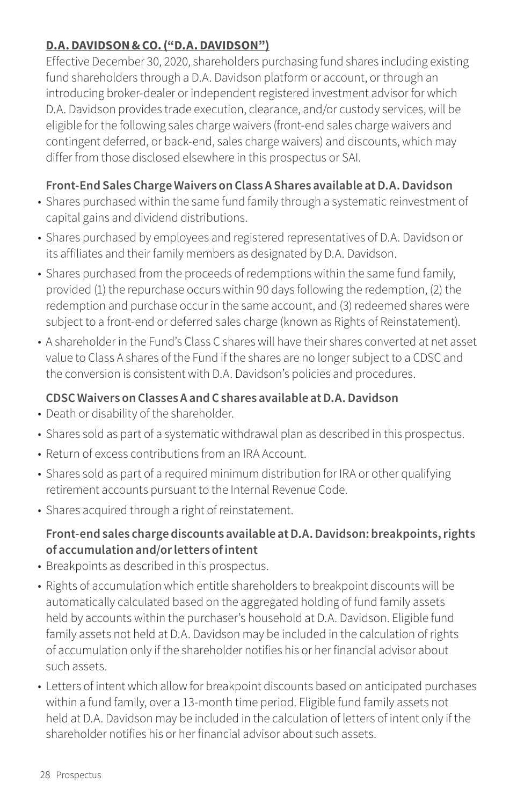### **D.A. DAVIDSON & CO. ("D.A. DAVIDSON")**

Effective December 30, 2020, shareholders purchasing fund shares including existing fund shareholders through a D.A. Davidson platform or account, or through an introducing broker-dealer or independent registered investment advisor for which D.A. Davidson provides trade execution, clearance, and/or custody services, will be eligible for the following sales charge waivers (front-end sales charge waivers and contingent deferred, or back-end, sales charge waivers) and discounts, which may differ from those disclosed elsewhere in this prospectus or SAI.

#### **Front-End Sales Charge Waivers on Class A Shares available at D.A. Davidson**

- Shares purchased within the same fund family through a systematic reinvestment of capital gains and dividend distributions.
- Shares purchased by employees and registered representatives of D.A. Davidson or its affiliates and their family members as designated by D.A. Davidson.
- Shares purchased from the proceeds of redemptions within the same fund family, provided (1) the repurchase occurs within 90 days following the redemption, (2) the redemption and purchase occur in the same account, and (3) redeemed shares were subject to a front-end or deferred sales charge (known as Rights of Reinstatement).
- A shareholder in the Fund's Class C shares will have their shares converted at net asset value to Class A shares of the Fund if the shares are no longer subject to a CDSC and the conversion is consistent with D.A. Davidson's policies and procedures.

### **CDSC Waivers on Classes A and C shares available at D.A. Davidson**

- Death or disability of the shareholder.
- Shares sold as part of a systematic withdrawal plan as described in this prospectus.
- Return of excess contributions from an IRA Account.
- Shares sold as part of a required minimum distribution for IRA or other qualifying retirement accounts pursuant to the Internal Revenue Code.
- Shares acquired through a right of reinstatement.

#### **Front-end sales charge discounts available at D.A. Davidson: breakpoints, rights of accumulation and/or letters of intent**

- Breakpoints as described in this prospectus.
- Rights of accumulation which entitle shareholders to breakpoint discounts will be automatically calculated based on the aggregated holding of fund family assets held by accounts within the purchaser's household at D.A. Davidson. Eligible fund family assets not held at D.A. Davidson may be included in the calculation of rights of accumulation only if the shareholder notifies his or her financial advisor about such assets.
- Letters of intent which allow for breakpoint discounts based on anticipated purchases within a fund family, over a 13-month time period. Eligible fund family assets not held at D.A. Davidson may be included in the calculation of letters of intent only if the shareholder notifies his or her financial advisor about such assets.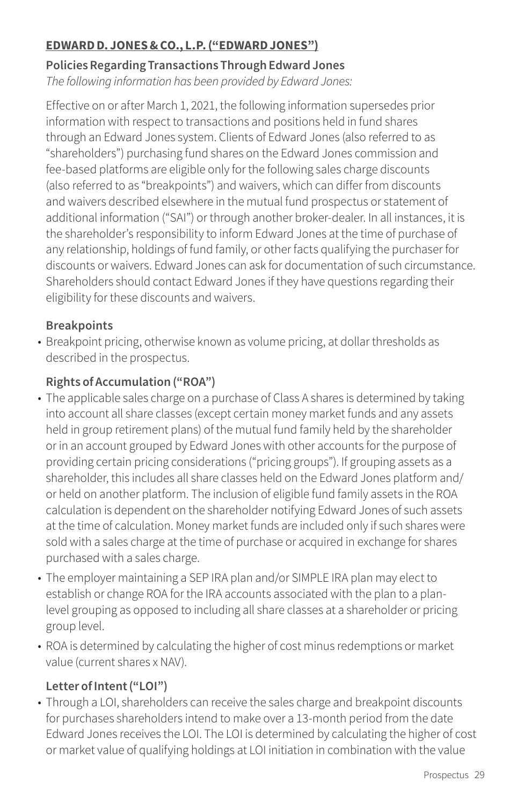#### **EDWARD D. JONES & CO., L.P. ("EDWARD JONES")**

#### **Policies Regarding Transactions Through Edward Jones**

*The following information has been provided by Edward Jones:*

Effective on or after March 1, 2021, the following information supersedes prior information with respect to transactions and positions held in fund shares through an Edward Jones system. Clients of Edward Jones (also referred to as "shareholders") purchasing fund shares on the Edward Jones commission and fee-based platforms are eligible only for the following sales charge discounts (also referred to as "breakpoints") and waivers, which can differ from discounts and waivers described elsewhere in the mutual fund prospectus or statement of additional information ("SAI") or through another broker-dealer. In all instances, it is the shareholder's responsibility to inform Edward Jones at the time of purchase of any relationship, holdings of fund family, or other facts qualifying the purchaser for discounts or waivers. Edward Jones can ask for documentation of such circumstance. Shareholders should contact Edward Jones if they have questions regarding their eligibility for these discounts and waivers.

#### **Breakpoints**

• Breakpoint pricing, otherwise known as volume pricing, at dollar thresholds as described in the prospectus.

#### **Rights of Accumulation ("ROA")**

- The applicable sales charge on a purchase of Class A shares is determined by taking into account all share classes (except certain money market funds and any assets held in group retirement plans) of the mutual fund family held by the shareholder or in an account grouped by Edward Jones with other accounts for the purpose of providing certain pricing considerations ("pricing groups"). If grouping assets as a shareholder, this includes all share classes held on the Edward Jones platform and/ or held on another platform. The inclusion of eligible fund family assets in the ROA calculation is dependent on the shareholder notifying Edward Jones of such assets at the time of calculation. Money market funds are included only if such shares were sold with a sales charge at the time of purchase or acquired in exchange for shares purchased with a sales charge.
- The employer maintaining a SEP IRA plan and/or SIMPLE IRA plan may elect to establish or change ROA for the IRA accounts associated with the plan to a planlevel grouping as opposed to including all share classes at a shareholder or pricing group level.
- ROA is determined by calculating the higher of cost minus redemptions or market value (current shares x NAV).

#### **Letter of Intent ("LOI")**

• Through a LOI, shareholders can receive the sales charge and breakpoint discounts for purchases shareholders intend to make over a 13-month period from the date Edward Jones receives the LOI. The LOI is determined by calculating the higher of cost or market value of qualifying holdings at LOI initiation in combination with the value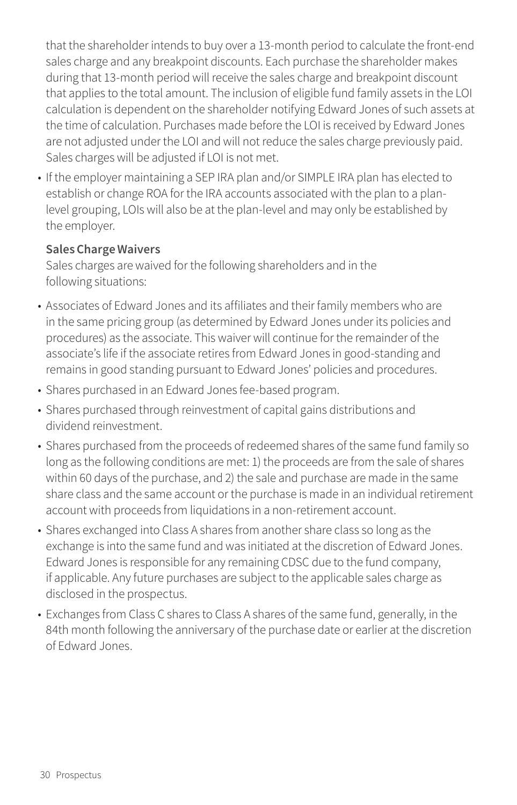that the shareholder intends to buy over a 13-month period to calculate the front-end sales charge and any breakpoint discounts. Each purchase the shareholder makes during that 13-month period will receive the sales charge and breakpoint discount that applies to the total amount. The inclusion of eligible fund family assets in the LOI calculation is dependent on the shareholder notifying Edward Jones of such assets at the time of calculation. Purchases made before the LOI is received by Edward Jones are not adjusted under the LOI and will not reduce the sales charge previously paid. Sales charges will be adjusted if LOI is not met.

• If the employer maintaining a SEP IRA plan and/or SIMPLE IRA plan has elected to establish or change ROA for the IRA accounts associated with the plan to a planlevel grouping, LOIs will also be at the plan-level and may only be established by the employer.

#### **Sales Charge Waivers**

Sales charges are waived for the following shareholders and in the following situations:

- Associates of Edward Jones and its affiliates and their family members who are in the same pricing group (as determined by Edward Jones under its policies and procedures) as the associate. This waiver will continue for the remainder of the associate's life if the associate retires from Edward Jones in good-standing and remains in good standing pursuant to Edward Jones' policies and procedures.
- Shares purchased in an Edward Jones fee-based program.
- Shares purchased through reinvestment of capital gains distributions and dividend reinvestment.
- Shares purchased from the proceeds of redeemed shares of the same fund family so long as the following conditions are met: 1) the proceeds are from the sale of shares within 60 days of the purchase, and 2) the sale and purchase are made in the same share class and the same account or the purchase is made in an individual retirement account with proceeds from liquidations in a non-retirement account.
- Shares exchanged into Class A shares from another share class so long as the exchange is into the same fund and was initiated at the discretion of Edward Jones. Edward Jones is responsible for any remaining CDSC due to the fund company, if applicable. Any future purchases are subject to the applicable sales charge as disclosed in the prospectus.
- Exchanges from Class C shares to Class A shares of the same fund, generally, in the 84th month following the anniversary of the purchase date or earlier at the discretion of Edward Jones.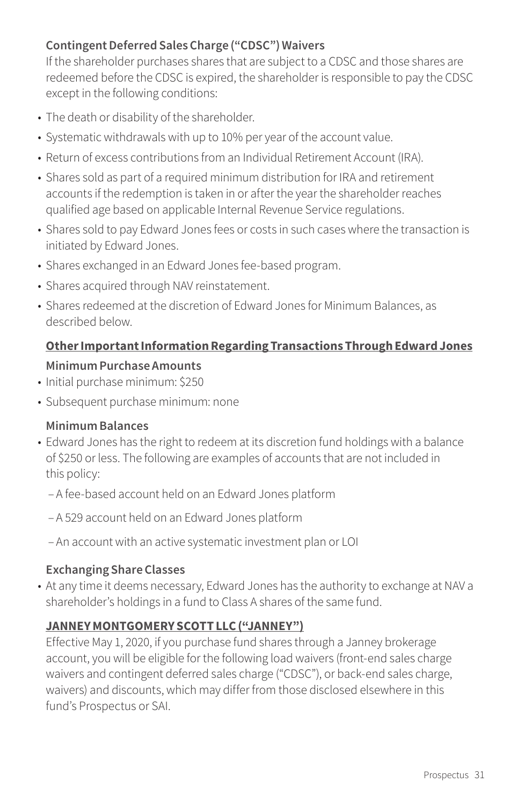#### **Contingent Deferred Sales Charge ("CDSC") Waivers**

If the shareholder purchases shares that are subject to a CDSC and those shares are redeemed before the CDSC is expired, the shareholder is responsible to pay the CDSC except in the following conditions:

- The death or disability of the shareholder.
- Systematic withdrawals with up to 10% per year of the account value.
- Return of excess contributions from an Individual Retirement Account (IRA).
- Shares sold as part of a required minimum distribution for IRA and retirement accounts if the redemption is taken in or after the year the shareholder reaches qualified age based on applicable Internal Revenue Service regulations.
- Shares sold to pay Edward Jones fees or costs in such cases where the transaction is initiated by Edward Jones.
- Shares exchanged in an Edward Jones fee-based program.
- Shares acquired through NAV reinstatement.
- Shares redeemed at the discretion of Edward Jones for Minimum Balances, as described below.

### **Other Important Information Regarding Transactions Through Edward Jones**

#### **Minimum Purchase Amounts**

- Initial purchase minimum: \$250
- Subsequent purchase minimum: none

#### **Minimum Balances**

- Edward Jones has the right to redeem at its discretion fund holdings with a balance of \$250 or less. The following are examples of accounts that are not included in this policy:
	- A fee-based account held on an Edward Jones platform
	- A 529 account held on an Edward Jones platform
	- An account with an active systematic investment plan or LOI

#### **Exchanging Share Classes**

• At any time it deems necessary, Edward Jones has the authority to exchange at NAV a shareholder's holdings in a fund to Class A shares of the same fund.

#### **JANNEY MONTGOMERY SCOTT LLC ("JANNEY")**

Effective May 1, 2020, if you purchase fund shares through a Janney brokerage account, you will be eligible for the following load waivers (front-end sales charge waivers and contingent deferred sales charge ("CDSC"), or back-end sales charge, waivers) and discounts, which may differ from those disclosed elsewhere in this fund's Prospectus or SAI.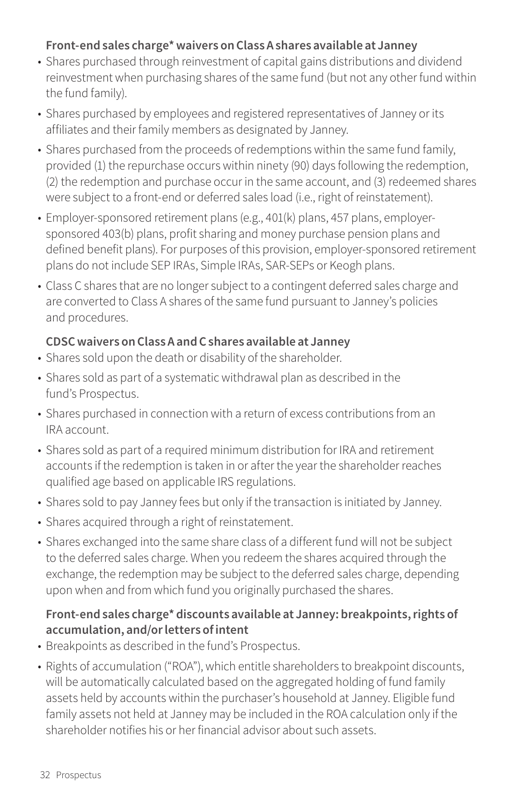#### **Front-end sales charge\* waivers on Class A shares available at Janney**

- Shares purchased through reinvestment of capital gains distributions and dividend reinvestment when purchasing shares of the same fund (but not any other fund within the fund family).
- Shares purchased by employees and registered representatives of Janney or its affiliates and their family members as designated by Janney.
- Shares purchased from the proceeds of redemptions within the same fund family, provided (1) the repurchase occurs within ninety (90) days following the redemption, (2) the redemption and purchase occur in the same account, and (3) redeemed shares were subject to a front-end or deferred sales load (i.e., right of reinstatement).
- Employer-sponsored retirement plans (e.g., 401(k) plans, 457 plans, employersponsored 403(b) plans, profit sharing and money purchase pension plans and defined benefit plans). For purposes of this provision, employer-sponsored retirement plans do not include SEP IRAs, Simple IRAs, SAR-SEPs or Keogh plans.
- Class C shares that are no longer subject to a contingent deferred sales charge and are converted to Class A shares of the same fund pursuant to Janney's policies and procedures.

#### **CDSC waivers on Class A and C shares available at Janney**

- Shares sold upon the death or disability of the shareholder.
- Shares sold as part of a systematic withdrawal plan as described in the fund's Prospectus.
- Shares purchased in connection with a return of excess contributions from an IRA account.
- Shares sold as part of a required minimum distribution for IRA and retirement accounts if the redemption is taken in or after the year the shareholder reaches qualified age based on applicable IRS regulations.
- Shares sold to pay Janney fees but only if the transaction is initiated by Janney.
- Shares acquired through a right of reinstatement.
- Shares exchanged into the same share class of a different fund will not be subject to the deferred sales charge. When you redeem the shares acquired through the exchange, the redemption may be subject to the deferred sales charge, depending upon when and from which fund you originally purchased the shares.

#### **Front-end sales charge\* discounts available at Janney: breakpoints, rights of accumulation, and/or letters of intent**

- Breakpoints as described in the fund's Prospectus.
- Rights of accumulation ("ROA"), which entitle shareholders to breakpoint discounts, will be automatically calculated based on the aggregated holding of fund family assets held by accounts within the purchaser's household at Janney. Eligible fund family assets not held at Janney may be included in the ROA calculation only if the shareholder notifies his or her financial advisor about such assets.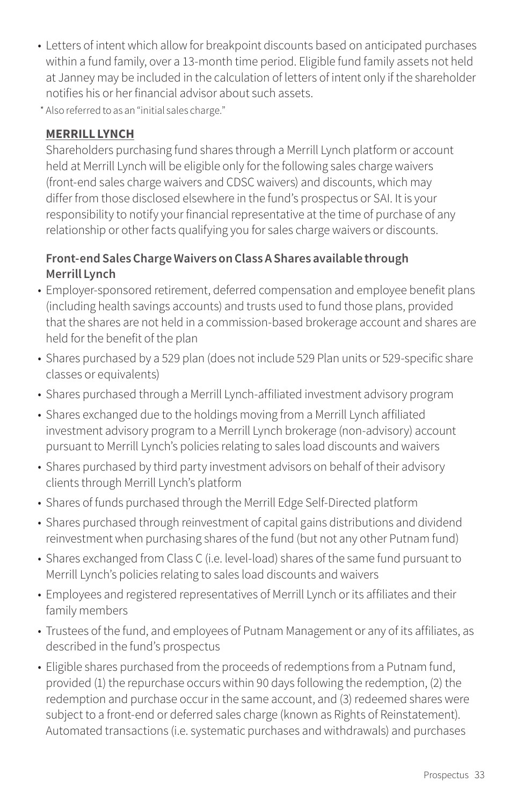- Letters of intent which allow for breakpoint discounts based on anticipated purchases within a fund family, over a 13-month time period. Eligible fund family assets not held at Janney may be included in the calculation of letters of intent only if the shareholder notifies his or her financial advisor about such assets.
- \* Also referred to as an "initial sales charge."

#### **MERRILL LYNCH**

Shareholders purchasing fund shares through a Merrill Lynch platform or account held at Merrill Lynch will be eligible only for the following sales charge waivers (front-end sales charge waivers and CDSC waivers) and discounts, which may differ from those disclosed elsewhere in the fund's prospectus or SAI. It is your responsibility to notify your financial representative at the time of purchase of any relationship or other facts qualifying you for sales charge waivers or discounts.

#### **Front-end Sales Charge Waivers on Class A Shares available through Merrill Lynch**

- Employer-sponsored retirement, deferred compensation and employee benefit plans (including health savings accounts) and trusts used to fund those plans, provided that the shares are not held in a commission-based brokerage account and shares are held for the benefit of the plan
- Shares purchased by a 529 plan (does not include 529 Plan units or 529-specific share classes or equivalents)
- Shares purchased through a Merrill Lynch-affiliated investment advisory program
- Shares exchanged due to the holdings moving from a Merrill Lynch affiliated investment advisory program to a Merrill Lynch brokerage (non-advisory) account pursuant to Merrill Lynch's policies relating to sales load discounts and waivers
- Shares purchased by third party investment advisors on behalf of their advisory clients through Merrill Lynch's platform
- Shares of funds purchased through the Merrill Edge Self-Directed platform
- Shares purchased through reinvestment of capital gains distributions and dividend reinvestment when purchasing shares of the fund (but not any other Putnam fund)
- Shares exchanged from Class C (i.e. level-load) shares of the same fund pursuant to Merrill Lynch's policies relating to sales load discounts and waivers
- Employees and registered representatives of Merrill Lynch or its affiliates and their family members
- Trustees of the fund, and employees of Putnam Management or any of its affiliates, as described in the fund's prospectus
- Eligible shares purchased from the proceeds of redemptions from a Putnam fund, provided (1) the repurchase occurs within 90 days following the redemption, (2) the redemption and purchase occur in the same account, and (3) redeemed shares were subject to a front-end or deferred sales charge (known as Rights of Reinstatement). Automated transactions (i.e. systematic purchases and withdrawals) and purchases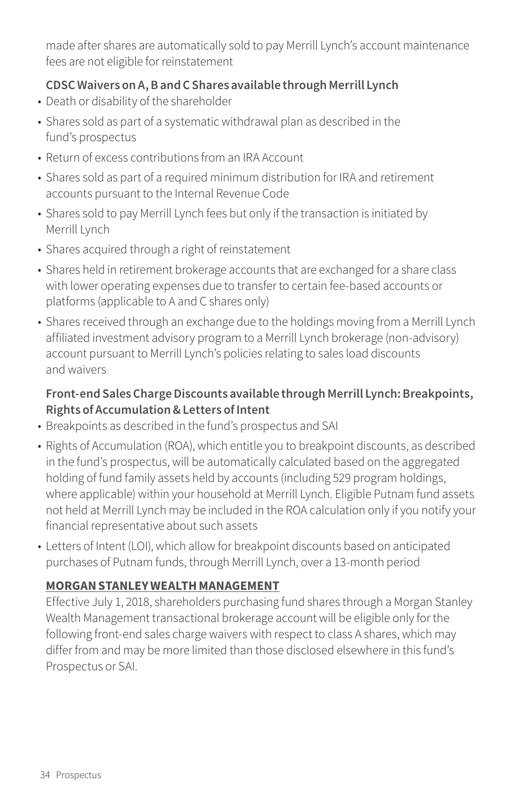made after shares are automatically sold to pay Merrill Lynch's account maintenance fees are not eligible for reinstatement

#### **CDSC Waivers on A, B and C Shares available through Merrill Lynch**

- Death or disability of the shareholder
- Shares sold as part of a systematic withdrawal plan as described in the fund's prospectus
- Return of excess contributions from an IRA Account
- Shares sold as part of a required minimum distribution for IRA and retirement accounts pursuant to the Internal Revenue Code
- Shares sold to pay Merrill Lynch fees but only if the transaction is initiated by Merrill Lynch
- Shares acquired through a right of reinstatement
- Shares held in retirement brokerage accounts that are exchanged for a share class with lower operating expenses due to transfer to certain fee-based accounts or platforms (applicable to A and C shares only)
- Shares received through an exchange due to the holdings moving from a Merrill Lynch affiliated investment advisory program to a Merrill Lynch brokerage (non-advisory) account pursuant to Merrill Lynch's policies relating to sales load discounts and waivers

#### **Front-end Sales Charge Discounts available through Merrill Lynch: Breakpoints, Rights of Accumulation & Letters of Intent**

- Breakpoints as described in the fund's prospectus and SAI
- Rights of Accumulation (ROA), which entitle you to breakpoint discounts, as described in the fund's prospectus, will be automatically calculated based on the aggregated holding of fund family assets held by accounts (including 529 program holdings, where applicable) within your household at Merrill Lynch. Eligible Putnam fund assets not held at Merrill Lynch may be included in the ROA calculation only if you notify your financial representative about such assets
- Letters of Intent (LOI), which allow for breakpoint discounts based on anticipated purchases of Putnam funds, through Merrill Lynch, over a 13-month period

#### **MORGAN STANLEY WEALTH MANAGEMENT**

Effective July 1, 2018, shareholders purchasing fund shares through a Morgan Stanley Wealth Management transactional brokerage account will be eligible only for the following front-end sales charge waivers with respect to class A shares, which may differ from and may be more limited than those disclosed elsewhere in this fund's Prospectus or SAI.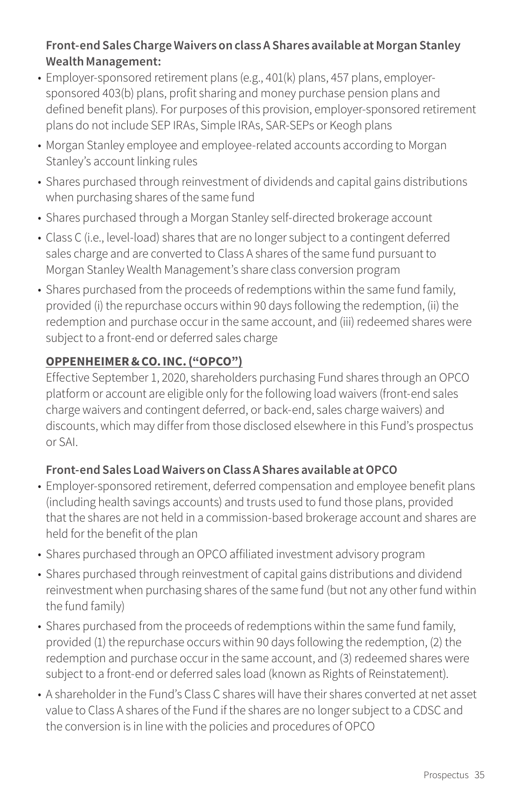#### **Front-end Sales Charge Waivers on class A Shares available at Morgan Stanley Wealth Management:**

- Employer-sponsored retirement plans (e.g., 401(k) plans, 457 plans, employersponsored 403(b) plans, profit sharing and money purchase pension plans and defined benefit plans). For purposes of this provision, employer-sponsored retirement plans do not include SEP IRAs, Simple IRAs, SAR-SEPs or Keogh plans
- Morgan Stanley employee and employee-related accounts according to Morgan Stanley's account linking rules
- Shares purchased through reinvestment of dividends and capital gains distributions when purchasing shares of the same fund
- Shares purchased through a Morgan Stanley self-directed brokerage account
- Class C (i.e., level-load) shares that are no longer subject to a contingent deferred sales charge and are converted to Class A shares of the same fund pursuant to Morgan Stanley Wealth Management's share class conversion program
- Shares purchased from the proceeds of redemptions within the same fund family, provided (i) the repurchase occurs within 90 days following the redemption, (ii) the redemption and purchase occur in the same account, and (iii) redeemed shares were subject to a front-end or deferred sales charge

#### **OPPENHEIMER & CO. INC. ("OPCO")**

Effective September 1, 2020, shareholders purchasing Fund shares through an OPCO platform or account are eligible only for the following load waivers (front-end sales charge waivers and contingent deferred, or back-end, sales charge waivers) and discounts, which may differ from those disclosed elsewhere in this Fund's prospectus or SAI.

#### **Front-end Sales Load Waivers on Class A Shares available at OPCO**

- Employer-sponsored retirement, deferred compensation and employee benefit plans (including health savings accounts) and trusts used to fund those plans, provided that the shares are not held in a commission-based brokerage account and shares are held for the benefit of the plan
- Shares purchased through an OPCO affiliated investment advisory program
- Shares purchased through reinvestment of capital gains distributions and dividend reinvestment when purchasing shares of the same fund (but not any other fund within the fund family)
- Shares purchased from the proceeds of redemptions within the same fund family, provided (1) the repurchase occurs within 90 days following the redemption, (2) the redemption and purchase occur in the same account, and (3) redeemed shares were subject to a front-end or deferred sales load (known as Rights of Reinstatement).
- A shareholder in the Fund's Class C shares will have their shares converted at net asset value to Class A shares of the Fund if the shares are no longer subject to a CDSC and the conversion is in line with the policies and procedures of OPCO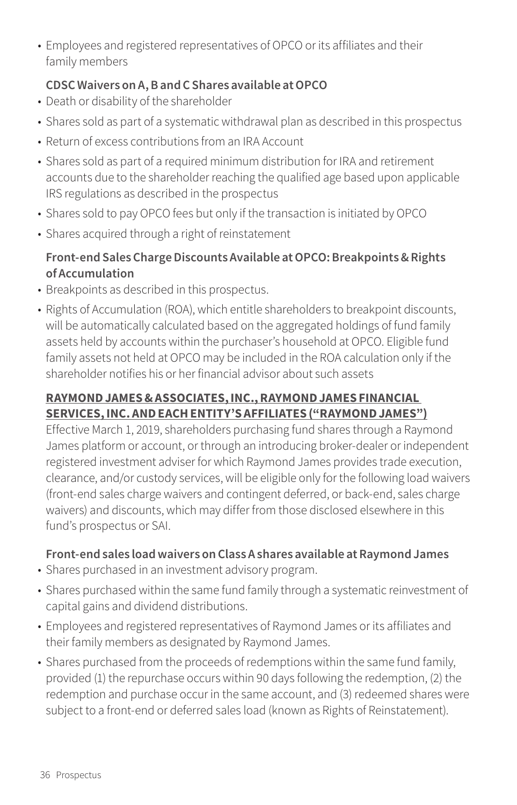• Employees and registered representatives of OPCO or its affiliates and their family members

#### **CDSC Waivers on A, B and C Shares available at OPCO**

- Death or disability of the shareholder
- Shares sold as part of a systematic withdrawal plan as described in this prospectus
- Return of excess contributions from an IRA Account
- Shares sold as part of a required minimum distribution for IRA and retirement accounts due to the shareholder reaching the qualified age based upon applicable IRS regulations as described in the prospectus
- Shares sold to pay OPCO fees but only if the transaction is initiated by OPCO
- Shares acquired through a right of reinstatement

#### **Front-end Sales Charge Discounts Available at OPCO: Breakpoints & Rights of Accumulation**

- Breakpoints as described in this prospectus.
- Rights of Accumulation (ROA), which entitle shareholders to breakpoint discounts, will be automatically calculated based on the aggregated holdings of fund family assets held by accounts within the purchaser's household at OPCO. Eligible fund family assets not held at OPCO may be included in the ROA calculation only if the shareholder notifies his or her financial advisor about such assets

### **RAYMOND JAMES & ASSOCIATES, INC., RAYMOND JAMES FINANCIAL SERVICES, INC. AND EACH ENTITY'S AFFILIATES ("RAYMOND JAMES")**

Effective March 1, 2019, shareholders purchasing fund shares through a Raymond James platform or account, or through an introducing broker-dealer or independent registered investment adviser for which Raymond James provides trade execution, clearance, and/or custody services, will be eligible only for the following load waivers (front-end sales charge waivers and contingent deferred, or back-end, sales charge waivers) and discounts, which may differ from those disclosed elsewhere in this fund's prospectus or SAI.

### **Front-end sales load waivers on Class A shares available at Raymond James**

- Shares purchased in an investment advisory program.
- Shares purchased within the same fund family through a systematic reinvestment of capital gains and dividend distributions.
- Employees and registered representatives of Raymond James or its affiliates and their family members as designated by Raymond James.
- Shares purchased from the proceeds of redemptions within the same fund family, provided (1) the repurchase occurs within 90 days following the redemption, (2) the redemption and purchase occur in the same account, and (3) redeemed shares were subject to a front-end or deferred sales load (known as Rights of Reinstatement).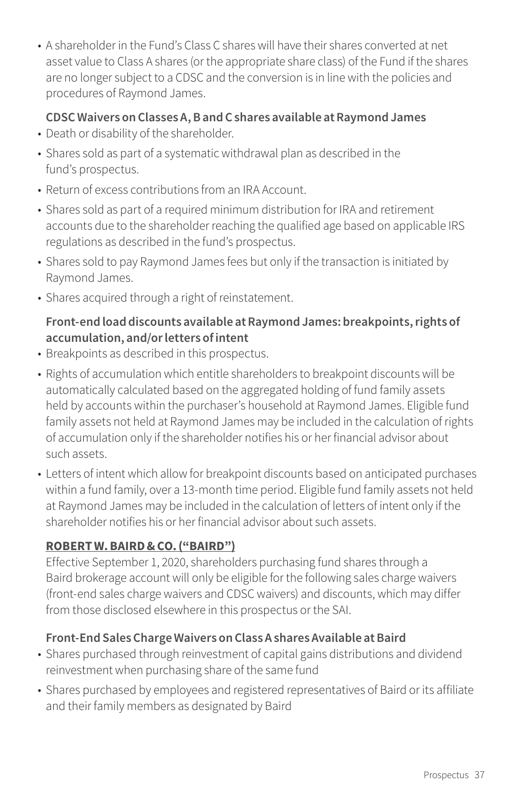• A shareholder in the Fund's Class C shares will have their shares converted at net asset value to Class A shares (or the appropriate share class) of the Fund if the shares are no longer subject to a CDSC and the conversion is in line with the policies and procedures of Raymond James.

#### **CDSC Waivers on Classes A, B and C shares available at Raymond James**

- Death or disability of the shareholder.
- Shares sold as part of a systematic withdrawal plan as described in the fund's prospectus.
- Return of excess contributions from an IRA Account.
- Shares sold as part of a required minimum distribution for IRA and retirement accounts due to the shareholder reaching the qualified age based on applicable IRS regulations as described in the fund's prospectus.
- Shares sold to pay Raymond James fees but only if the transaction is initiated by Raymond James.
- Shares acquired through a right of reinstatement.

#### **Front-end load discounts available at Raymond James: breakpoints, rights of accumulation, and/or letters of intent**

- Breakpoints as described in this prospectus.
- Rights of accumulation which entitle shareholders to breakpoint discounts will be automatically calculated based on the aggregated holding of fund family assets held by accounts within the purchaser's household at Raymond James. Eligible fund family assets not held at Raymond James may be included in the calculation of rights of accumulation only if the shareholder notifies his or her financial advisor about such assets.
- Letters of intent which allow for breakpoint discounts based on anticipated purchases within a fund family, over a 13-month time period. Eligible fund family assets not held at Raymond James may be included in the calculation of letters of intent only if the shareholder notifies his or her financial advisor about such assets.

#### **ROBERT W. BAIRD & CO. ("BAIRD")**

Effective September 1, 2020, shareholders purchasing fund shares through a Baird brokerage account will only be eligible for the following sales charge waivers (front-end sales charge waivers and CDSC waivers) and discounts, which may differ from those disclosed elsewhere in this prospectus or the SAI.

#### **Front-End Sales Charge Waivers on Class A shares Available at Baird**

- Shares purchased through reinvestment of capital gains distributions and dividend reinvestment when purchasing share of the same fund
- Shares purchased by employees and registered representatives of Baird or its affiliate and their family members as designated by Baird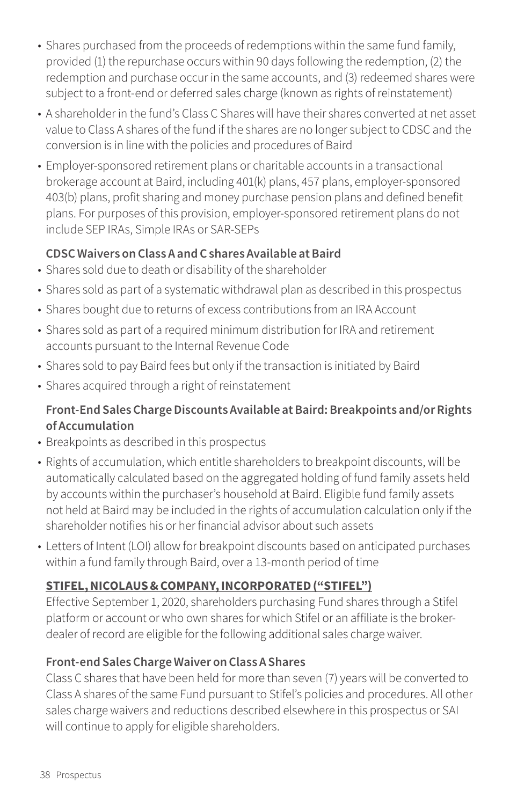- Shares purchased from the proceeds of redemptions within the same fund family, provided (1) the repurchase occurs within 90 days following the redemption, (2) the redemption and purchase occur in the same accounts, and (3) redeemed shares were subject to a front-end or deferred sales charge (known as rights of reinstatement)
- A shareholder in the fund's Class C Shares will have their shares converted at net asset value to Class A shares of the fund if the shares are no longer subject to CDSC and the conversion is in line with the policies and procedures of Baird
- Employer-sponsored retirement plans or charitable accounts in a transactional brokerage account at Baird, including 401(k) plans, 457 plans, employer-sponsored 403(b) plans, profit sharing and money purchase pension plans and defined benefit plans. For purposes of this provision, employer-sponsored retirement plans do not include SEP IRAs, Simple IRAs or SAR-SEPs

#### **CDSC Waivers on Class A and C shares Available at Baird**

- Shares sold due to death or disability of the shareholder
- Shares sold as part of a systematic withdrawal plan as described in this prospectus
- Shares bought due to returns of excess contributions from an IRA Account
- Shares sold as part of a required minimum distribution for IRA and retirement accounts pursuant to the Internal Revenue Code
- Shares sold to pay Baird fees but only if the transaction is initiated by Baird
- Shares acquired through a right of reinstatement

#### **Front-End Sales Charge Discounts Available at Baird: Breakpoints and/or Rights of Accumulation**

- Breakpoints as described in this prospectus
- Rights of accumulation, which entitle shareholders to breakpoint discounts, will be automatically calculated based on the aggregated holding of fund family assets held by accounts within the purchaser's household at Baird. Eligible fund family assets not held at Baird may be included in the rights of accumulation calculation only if the shareholder notifies his or her financial advisor about such assets
- Letters of Intent (LOI) allow for breakpoint discounts based on anticipated purchases within a fund family through Baird, over a 13-month period of time

#### **STIFEL, NICOLAUS & COMPANY, INCORPORATED ("STIFEL")**

Effective September 1, 2020, shareholders purchasing Fund shares through a Stifel platform or account or who own shares for which Stifel or an affiliate is the brokerdealer of record are eligible for the following additional sales charge waiver.

#### **Front-end Sales Charge Waiver on Class A Shares**

Class C shares that have been held for more than seven (7) years will be converted to Class A shares of the same Fund pursuant to Stifel's policies and procedures. All other sales charge waivers and reductions described elsewhere in this prospectus or SAI will continue to apply for eligible shareholders.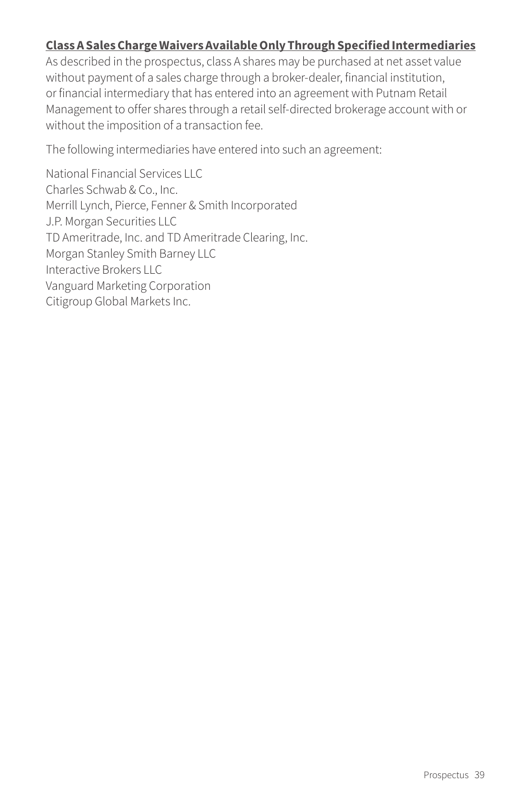#### **Class A Sales Charge Waivers Available Only Through Specified Intermediaries**

As described in the prospectus, class A shares may be purchased at net asset value without payment of a sales charge through a broker-dealer, financial institution, or financial intermediary that has entered into an agreement with Putnam Retail Management to offer shares through a retail self-directed brokerage account with or without the imposition of a transaction fee.

The following intermediaries have entered into such an agreement:

National Financial Services LLC Charles Schwab & Co., Inc. Merrill Lynch, Pierce, Fenner & Smith Incorporated J.P. Morgan Securities LLC TD Ameritrade, Inc. and TD Ameritrade Clearing, Inc. Morgan Stanley Smith Barney LLC Interactive Brokers LLC Vanguard Marketing Corporation Citigroup Global Markets Inc.